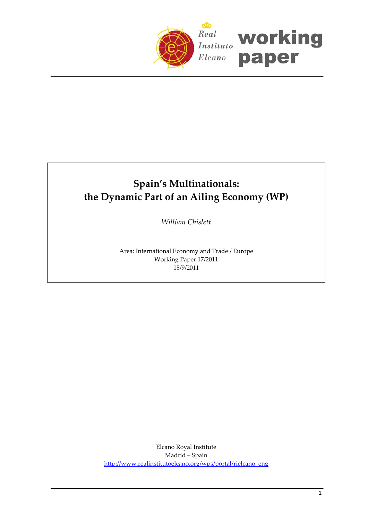

# **Spain's Multinationals: the Dynamic Part of an Ailing Economy (WP)**

*William Chislett*

Area: International Economy and Trade / Europe Working Paper 17/2011 15/9/2011

Elcano Royal Institute Madrid – Spain [http://www.realinstitutoelcano.org/wps/portal/rielcano\\_eng](http://www.realinstitutoelcano.org/wps/portal/rielcano_eng)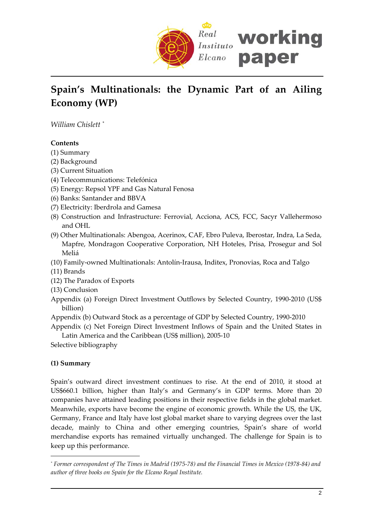

# **Spain's Multinationals: the Dynamic Part of an Ailing Economy (WP)**

*William Chislett* [\\*](#page-1-0)

# **Contents**

- (1) Summary
- (2) Background
- (3) Current Situation
- (4) Telecommunications: Telefónica
- (5) Energy: Repsol YPF and Gas Natural Fenosa
- (6) Banks: Santander and BBVA
- (7) Electricity: Iberdrola and Gamesa
- (8) Construction and Infrastructure: Ferrovial, Acciona, ACS, FCC, Sacyr Vallehermoso and OHL
- (9) Other Multinationals: Abengoa, Acerinox, CAF, Ebro Puleva, Iberostar, Indra, La Seda, Mapfre, Mondragon Cooperative Corporation, NH Hoteles, Prisa, Prosegur and Sol Meliá
- (10) Family‐owned Multinationals: Antolín‐Irausa, Inditex, Pronovias, Roca and Talgo
- (11) Brands
- (12) The Paradox of Exports
- (13) Conclusion
- Appendix (a) Foreign Direct Investment Outflows by Selected Country, 1990‐2010 (US\$ billion)
- Appendix (b) Outward Stock as a percentage of GDP by Selected Country, 1990‐2010

Appendix (c) Net Foreign Direct Investment Inflows of Spain and the United States in Latin America and the Caribbean (US\$ million), 2005‐10

Selective bibliography

# **(1) Summary**

 $\overline{a}$ 

Spain's outward direct investment continues to rise. At the end of 2010, it stood at US\$660.1 billion, higher than Italy's and Germany's in GDP terms. More than 20 companies have attained leading positions in their respective fields in the global market. Meanwhile, exports have become the engine of economic growth. While the US, the UK, Germany, France and Italy have lost global market share to varying degrees over the last decade, mainly to China and other emerging countries, Spain's share of world merchandise exports has remained virtually unchanged. The challenge for Spain is to keep up this performance.

<span id="page-1-0"></span><sup>\*</sup> Former correspondent of The Times in Madrid (1975-78) and the Financial Times in Mexico (1978-84) and *author of three books on Spain for the Elcano Royal Institute.*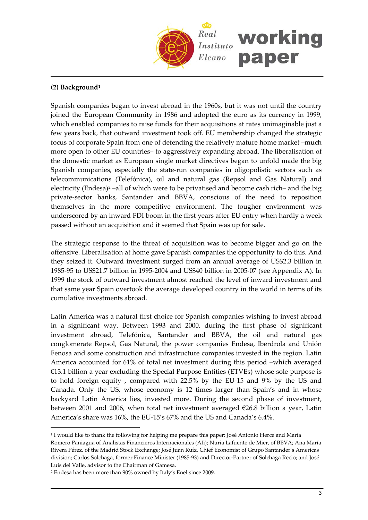

### **(2) Background[1](#page-2-0)**

Spanish companies began to invest abroad in the 1960s, but it was not until the country joined the European Community in 1986 and adopted the euro as its currency in 1999, which enabled companies to raise funds for their acquisitions at rates unimaginable just a few years back, that outward investment took off. EU membership changed the strategic focus of corporate Spain from one of defending the relatively mature home market –much more open to other EU countries– to aggressively expanding abroad. The liberalisation of the domestic market as European single market directives began to unfold made the big Spanish companies, especially the state‐run companies in oligopolistic sectors such as telecommunications (Telefónica), oil and natural gas (Repsol and Gas Natural) and electricity (Endesa)[2](#page-2-1) –all of which were to be privatised and become cash rich– and the big private‐sector banks, Santander and BBVA, conscious of the need to reposition themselves in the more competitive environment. The tougher environment was underscored by an inward FDI boom in the first years after EU entry when hardly a week passed without an acquisition and it seemed that Spain was up for sale.

The strategic response to the threat of acquisition was to become bigger and go on the offensive. Liberalisation at home gave Spanish companies the opportunity to do this. And they seized it. Outward investment surged from an annual average of US\$2.3 billion in 1985‐95 to US\$21.7 billion in 1995‐2004 and US\$40 billion in 2005‐07 (see Appendix A). In 1999 the stock of outward investment almost reached the level of inward investment and that same year Spain overtook the average developed country in the world in terms of its cumulative investments abroad.

Latin America was a natural first choice for Spanish companies wishing to invest abroad in a significant way. Between 1993 and 2000, during the first phase of significant investment abroad, Telefónica, Santander and BBVA, the oil and natural gas conglomerate Repsol, Gas Natural, the power companies Endesa, Iberdrola and Unión Fenosa and some construction and infrastructure companies invested in the region. Latin America accounted for 61% of total net investment during this period –which averaged €13.1 billion a year excluding the Special Purpose Entities (ETVEs) whose sole purpose is to hold foreign equity–, compared with 22.5% by the EU‐15 and 9% by the US and Canada. Only the US, whose economy is 12 times larger than Spain's and in whose backyard Latin America lies, invested more. During the second phase of investment, between 2001 and 2006, when total net investment averaged €26.8 billion a year, Latin America's share was 16%, the EU‐15's 67% and the US and Canada's 6.4%.

 $\overline{a}$ 

<span id="page-2-0"></span><sup>&</sup>lt;sup>1</sup> I would like to thank the following for helping me prepare this paper: José Antonio Herce and María Romero Paniagua of Analistas Financieros Internacionales (Afi); Nuria Lafuente de Mier, of BBVA; Ana María Rivera Pérez, of the Madrid Stock Exchange; José Juan Ruíz, Chief Economist of Grupo Santander's Americas division; Carlos Solchaga, former Finance Minister (1985‐93) and Director‐Partner of Solchaga Recio; and José Luis del Valle, advisor to the Chairman of Gamesa.

<span id="page-2-1"></span><sup>2</sup> Endesa has been more than 90% owned by Italy's Enel since 2009.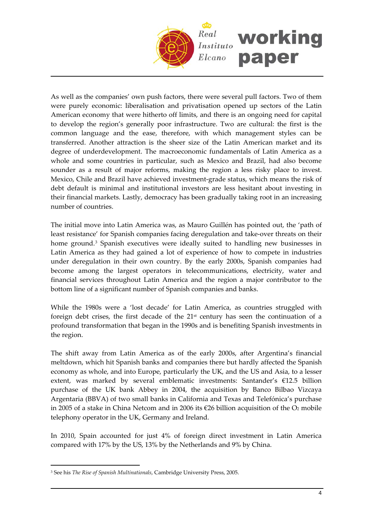

As well as the companies' own push factors, there were several pull factors. Two of them were purely economic: liberalisation and privatisation opened up sectors of the Latin American economy that were hitherto off limits, and there is an ongoing need for capital to develop the region's generally poor infrastructure. Two are cultural: the first is the common language and the ease, therefore, with which management styles can be transferred. Another attraction is the sheer size of the Latin American market and its degree of underdevelopment. The macroeconomic fundamentals of Latin America as a whole and some countries in particular, such as Mexico and Brazil, had also become sounder as a result of major reforms, making the region a less risky place to invest. Mexico, Chile and Brazil have achieved investment‐grade status, which means the risk of debt default is minimal and institutional investors are less hesitant about investing in their financial markets. Lastly, democracy has been gradually taking root in an increasing number of countries.

The initial move into Latin America was, as Mauro Guillén has pointed out, the 'path of least resistance' for Spanish companies facing deregulation and take‐over threats on their home ground.<sup>[3](#page-3-0)</sup> Spanish executives were ideally suited to handling new businesses in Latin America as they had gained a lot of experience of how to compete in industries under deregulation in their own country. By the early 2000s, Spanish companies had become among the largest operators in telecommunications, electricity, water and financial services throughout Latin America and the region a major contributor to the bottom line of a significant number of Spanish companies and banks.

While the 1980s were a 'lost decade' for Latin America, as countries struggled with foreign debt crises, the first decade of the 21st century has seen the continuation of a profound transformation that began in the 1990s and is benefiting Spanish investments in the region.

The shift away from Latin America as of the early 2000s, after Argentina's financial meltdown, which hit Spanish banks and companies there but hardly affected the Spanish economy as whole, and into Europe, particularly the UK, and the US and Asia, to a lesser extent, was marked by several emblematic investments: Santander's €12.5 billion purchase of the UK bank Abbey in 2004, the acquisition by Banco Bilbao Vizcaya Argentaria (BBVA) of two small banks in California and Texas and Telefónica's purchase in 2005 of a stake in China Netcom and in 2006 its €26 billion acquisition of the  $O_2$  mobile telephony operator in the UK, Germany and Ireland.

In 2010, Spain accounted for just 4% of foreign direct investment in Latin America compared with 17% by the US, 13% by the Netherlands and 9% by China.

 $\overline{a}$ 

<span id="page-3-0"></span><sup>3</sup> See his *The Rise of Spanish Multinationals*, Cambridge University Press, 2005.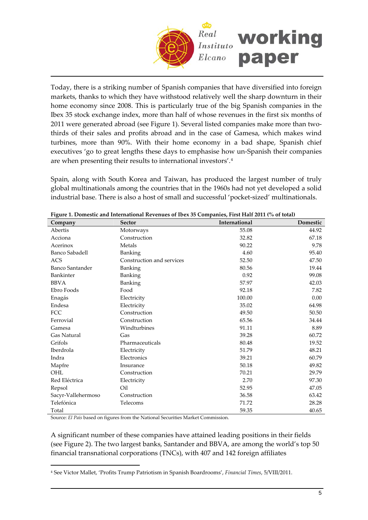

Today, there is a striking number of Spanish companies that have diversified into foreign markets, thanks to which they have withstood relatively well the sharp downturn in their home economy since 2008. This is particularly true of the big Spanish companies in the Ibex 35 stock exchange index, more than half of whose revenues in the first six months of 2011 were generated abroad (see Figure 1). Several listed companies make more than twothirds of their sales and profits abroad and in the case of Gamesa, which makes wind turbines, more than 90%. With their home economy in a bad shape, Spanish chief executives 'go to great lengths these days to emphasise how un‐Spanish their companies are when presenting their results to international investors'.[4](#page-4-0)

Spain, along with South Korea and Taiwan, has produced the largest number of truly global multinationals among the countries that in the 1960s had not yet developed a solid industrial base. There is also a host of small and successful 'pocket‐sized' multinationals.

| Company                | rigue 1. Domestic and international Revenues of IDEX 39 Companies, First Hall 2011 (70 Of total)<br><b>Sector</b> | International | Domestic |
|------------------------|-------------------------------------------------------------------------------------------------------------------|---------------|----------|
| Abertis                | Motorways                                                                                                         | 55.08         | 44.92    |
| Acciona                | Construction                                                                                                      | 32.82         | 67.18    |
| Acerinox               | Metals                                                                                                            | 90.22         | 9.78     |
| Banco Sabadell         | Banking                                                                                                           | 4.60          | 95.40    |
| ACS                    | Construction and services                                                                                         | 52.50         | 47.50    |
| <b>Banco Santander</b> | Banking                                                                                                           | 80.56         | 19.44    |
| Bankinter              | Banking                                                                                                           | 0.92          | 99.08    |
| <b>BBVA</b>            | Banking                                                                                                           | 57.97         | 42.03    |
| Ebro Foods             | Food                                                                                                              | 92.18         | 7.82     |
| Enagás                 | Electricity                                                                                                       | 100.00        | 0.00     |
| Endesa                 | Electricity                                                                                                       | 35.02         | 64.98    |
| <b>FCC</b>             | Construction                                                                                                      | 49.50         | 50.50    |
| Ferrovial              | Construction                                                                                                      | 65.56         | 34.44    |
| Gamesa                 | Windturbines                                                                                                      | 91.11         | 8.89     |
| Gas Natural            | Gas                                                                                                               | 39.28         | 60.72    |
| Grifols                | Pharmaceuticals                                                                                                   | 80.48         | 19.52    |
| <b>Iberdrola</b>       | Electricity                                                                                                       | 51.79         | 48.21    |
| Indra                  | Electronics                                                                                                       | 39.21         | 60.79    |
| Mapfre                 | Insurance                                                                                                         | 50.18         | 49.82    |
| OHL                    | Construction                                                                                                      | 70.21         | 29.79    |
| Red Eléctrica          | Electricity                                                                                                       | 2.70          | 97.30    |
| Repsol                 | Oil                                                                                                               | 52.95         | 47.05    |
| Sacyr-Vallehermoso     | Construction                                                                                                      | 36.58         | 63.42    |
| Telefónica             | Telecoms                                                                                                          | 71.72         | 28.28    |
| Total                  |                                                                                                                   | 59.35         | 40.65    |

|  | Figure 1. Domestic and International Revenues of Ibex 35 Companies, First Half 2011 (% of total) |  |  |
|--|--------------------------------------------------------------------------------------------------|--|--|
|  |                                                                                                  |  |  |

Source: *El País* based on figures from the National Securities Market Commission.

 $\overline{a}$ 

A significant number of these companies have attained leading positions in their fields (see Figure 2). The two largest banks, Santander and BBVA, are among the world's top 50 financial transnational corporations (TNCs), with 407 and 142 foreign affiliates

<span id="page-4-0"></span><sup>4</sup> See Victor Mallet, 'Profits Trump Patriotism in Spanish Boardrooms', *Financial Times*, 5/VIII/2011.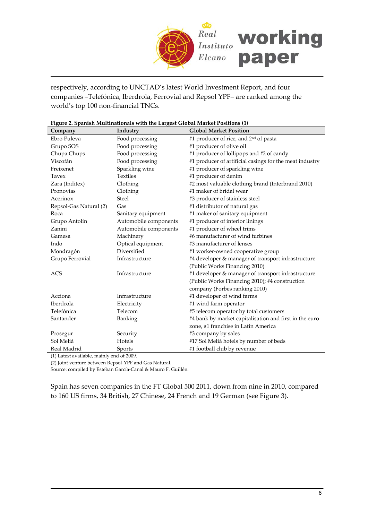

respectively, according to UNCTAD's latest World Investment Report, and four companies –Telefónica, Iberdrola, Ferrovial and Repsol YPF– are ranked among the world's top 100 non‐financial TNCs.

| Company                | Industry              | <b>Global Market Position</b>                           |
|------------------------|-----------------------|---------------------------------------------------------|
| Ebro Puleva            | Food processing       | #1 producer of rice, and 2 <sup>nd</sup> of pasta       |
| Grupo SOS              | Food processing       | #1 producer of olive oil                                |
| Chupa Chups            | Food processing       | #1 producer of lollipops and #2 of candy                |
| Viscofán               | Food processing       | #1 producer of artificial casings for the meat industry |
| Freixenet              | Sparkling wine        | #1 producer of sparkling wine                           |
| Tavex                  | <b>Textiles</b>       | #1 producer of denim                                    |
| Zara (Inditex)         | Clothing              | #2 most valuable clothing brand (Interbrand 2010)       |
| Pronovias              | Clothing              | #1 maker of bridal wear                                 |
| Acerinox               | <b>Steel</b>          | #3 producer of stainless steel                          |
| Repsol-Gas Natural (2) | Gas                   | #1 distributor of natural gas                           |
| Roca                   | Sanitary equipment    | #1 maker of sanitary equipment                          |
| Grupo Antolín          | Automobile components | #1 producer of interior linings                         |
| Zanini                 | Automobile components | #1 producer of wheel trims                              |
| Gamesa                 | Machinery             | #6 manufacturer of wind turbines                        |
| Indo                   | Optical equipment     | #3 manufacturer of lenses                               |
| Mondragón              | Diversified           | #1 worker-owned cooperative group                       |
| Grupo Ferrovial        | Infrastructure        | #4 developer & manager of transport infrastructure      |
|                        |                       | (Public Works Financing 2010)                           |
| <b>ACS</b>             | Infrastructure        | #1 developer & manager of transport infrastructure      |
|                        |                       | (Public Works Financing 2010); #4 construction          |
|                        |                       | company (Forbes ranking 2010)                           |
| Acciona                | Infrastructure        | #1 developer of wind farms                              |
| Iberdrola              | Electricity           | #1 wind farm operator                                   |
| Telefónica             | Telecom               | #5 telecom operator by total customers                  |
| Santander              | Banking               | #4 bank by market capitalisation and first in the euro  |
|                        |                       | zone, #1 franchise in Latin America                     |
| Prosegur               | Security              | #3 company by sales                                     |
| Sol Meliá              | Hotels                | #17 Sol Meliá hotels by number of beds                  |
| Real Madrid            | Sports                | #1 football club by revenue                             |

|  | Figure 2. Spanish Multinationals with the Largest Global Market Positions (1) |
|--|-------------------------------------------------------------------------------|
|--|-------------------------------------------------------------------------------|

(1) Latest available, mainly end of 2009.

(2) Joint venture between Repsol‐YPF and Gas Natural.

Source: compiled by Esteban García‐Canal & Mauro F. Guillén.

Spain has seven companies in the FT Global 500 2011, down from nine in 2010, compared to 160 US firms, 34 British, 27 Chinese, 24 French and 19 German (see Figure 3).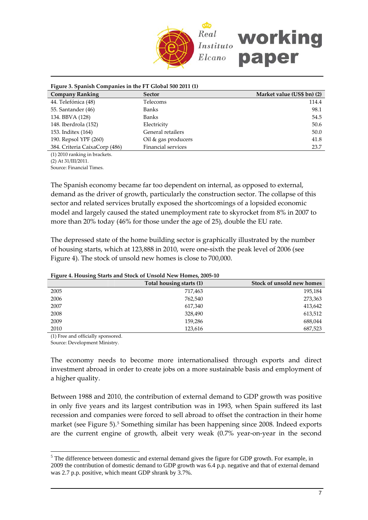

| Figure 3. Spanish Companies in the FT Global 500 2011 (1) |                     |                            |
|-----------------------------------------------------------|---------------------|----------------------------|
| <b>Company Ranking</b>                                    | Sector              | Market value (US\$ bn) (2) |
| 44. Telefónica (48)                                       | Telecoms            | 114.4                      |
| 55. Santander (46)                                        | Banks               | 98.1                       |
| 134. BBVA (128)                                           | Banks               | 54.5                       |
| 148. Iberdrola (152)                                      | Electricity         | 50.6                       |
| 153. Inditex (164)                                        | General retailers   | 50.0                       |
| 190. Repsol YPF (260)                                     | Oil & gas producers | 41.8                       |
| 384. Criteria CaixaCorp (486)                             | Financial services  | 23.7                       |
|                                                           |                     |                            |

(1) 2010 ranking in brackets. (2) At 31/III/2011.

Source: Financial Times.

The Spanish economy became far too dependent on internal, as opposed to external, demand as the driver of growth, particularly the construction sector. The collapse of this sector and related services brutally exposed the shortcomings of a lopsided economic model and largely caused the stated unemployment rate to skyrocket from 8% in 2007 to more than 20% today (46% for those under the age of 25), double the EU rate.

The depressed state of the home building sector is graphically illustrated by the number of housing starts, which at 123,888 in 2010, were one‐sixth the peak level of 2006 (see Figure 4). The stock of unsold new homes is close to 700,000.

|      | Total housing starts (1) | Stock of unsold new homes |
|------|--------------------------|---------------------------|
| 2005 | 717,463                  | 195,184                   |
| 2006 | 762.540                  | 273,363                   |
| 2007 | 617,340                  | 413,642                   |
| 2008 | 328,490                  | 613,512                   |
| 2009 | 159,286                  | 688,044                   |
| 2010 | 123,616                  | 687,523                   |

#### **Figure 4. Housing Starts and Stock of Unsold New Homes, 2005‐10**

(1) Free and officially sponsored.

Source: Development Ministry.

 $\overline{a}$ 

The economy needs to become more internationalised through exports and direct investment abroad in order to create jobs on a more sustainable basis and employment of a higher quality.

Between 1988 and 2010, the contribution of external demand to GDP growth was positive in only five years and its largest contribution was in 1993, when Spain suffered its last recession and companies were forced to sell abroad to offset the contraction in their home market (see Figure 5).[5](#page-6-0) Something similar has been happening since 2008. Indeed exports are the current engine of growth, albeit very weak (0.7% year-on-year in the second

<span id="page-6-0"></span><sup>&</sup>lt;sup>5</sup> The difference between domestic and external demand gives the figure for GDP growth. For example, in 2009 the contribution of domestic demand to GDP growth was 6.4 p.p. negative and that of external demand was 2.7 p.p. positive, which meant GDP shrank by 3.7%.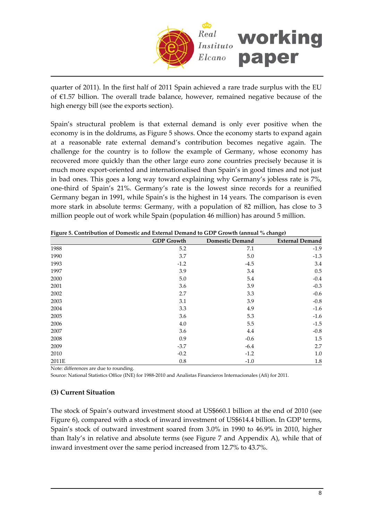

quarter of 2011). In the first half of 2011 Spain achieved a rare trade surplus with the EU of €1.57 billion. The overall trade balance, however, remained negative because of the high energy bill (see the exports section).

Spain's structural problem is that external demand is only ever positive when the economy is in the doldrums, as Figure 5 shows. Once the economy starts to expand again at a reasonable rate external demand's contribution becomes negative again. The challenge for the country is to follow the example of Germany, whose economy has recovered more quickly than the other large euro zone countries precisely because it is much more export-oriented and internationalised than Spain's in good times and not just in bad ones. This goes a long way toward explaining why Germany's jobless rate is 7%, one‐third of Spain's 21%. Germany's rate is the lowest since records for a reunified Germany began in 1991, while Spain's is the highest in 14 years. The comparison is even more stark in absolute terms: Germany, with a population of 82 million, has close to 3 million people out of work while Spain (population 46 million) has around 5 million.

| ັບ    | <b>GDP</b> Growth | <b>Domestic Demand</b> | ັ<br><b>External Demand</b> |
|-------|-------------------|------------------------|-----------------------------|
| 1988  | 5.2               | 7.1                    | $-1.9$                      |
| 1990  | 3.7               | 5.0                    | $-1.3$                      |
| 1993  | $-1.2$            | $-4.5$                 | 3.4                         |
| 1997  | 3.9               | 3.4                    | 0.5                         |
| 2000  | 5.0               | 5.4                    | $-0.4$                      |
| 2001  | 3.6               | 3.9                    | $-0.3$                      |
| 2002  | 2.7               | 3.3                    | $-0.6$                      |
| 2003  | 3.1               | 3.9                    | $-0.8$                      |
| 2004  | 3.3               | 4.9                    | $-1.6$                      |
| 2005  | 3.6               | 5.3                    | $-1.6$                      |
| 2006  | 4.0               | 5.5                    | $-1.5$                      |
| 2007  | 3.6               | 4.4                    | $-0.8$                      |
| 2008  | 0.9               | $-0.6$                 | 1.5                         |
| 2009  | $-3.7$            | $-6.4$                 | 2.7                         |
| 2010  | $-0.2$            | $-1.2$                 | $1.0\,$                     |
| 2011E | 0.8               | $-1.0$                 | 1.8                         |

**Figure 5. Contribution of Domestic and External Demand to GDP Growth (annual % change)**

Note: differences are due to rounding.

Source: National Statistics Office (INE) for 1988‐2010 and Analistas Financieros Internacionales (Afi) for 2011.

#### **(3) Current Situation**

The stock of Spain's outward investment stood at US\$660.1 billion at the end of 2010 (see Figure 6), compared with a stock of inward investment of US\$614.4 billion. In GDP terms, Spain's stock of outward investment soared from 3.0% in 1990 to 46.9% in 2010, higher than Italy's in relative and absolute terms (see Figure 7 and Appendix A), while that of inward investment over the same period increased from 12.7% to 43.7%.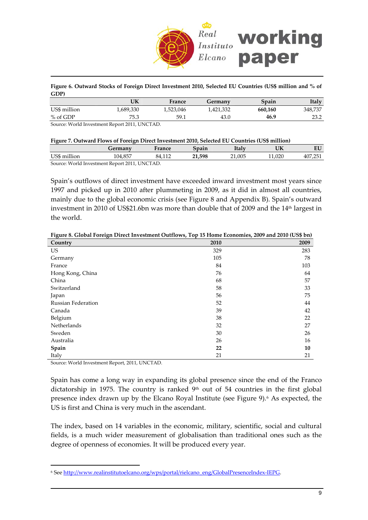

**Figure 6. Outward Stocks of Foreign Direct Investment 2010, Selected EU Countries (US\$ million and % of GDP)**

|              | UK                                           | France    | Germanv   | Spain   | Italy   |
|--------------|----------------------------------------------|-----------|-----------|---------|---------|
| US\$ million | 1,689,330                                    | 1,523,046 | 1,421,332 | 660.160 | 348.737 |
| % of GDP     | 75.3                                         | 59.1      | 43.0      | 46.9    | 23.2    |
|              | Source: World Investment Report 2011 LINCTAD |           |           |         |         |

Source: World Investment Report 2011, UNCTAD.

#### **Figure 7. Outward Flows of Foreign Direct Investment 2010, Selected EU Countries (US\$ million)**

|              | Germany                                       | France | Spain  | Italv  | UK     | EU      |
|--------------|-----------------------------------------------|--------|--------|--------|--------|---------|
| US\$ million | 104.857                                       | 84.112 | 21.598 | 21.005 | 11.020 | 407.251 |
|              | Source: World Investment Report 2011, UNCTAD. |        |        |        |        |         |

Spain's outflows of direct investment have exceeded inward investment most years since 1997 and picked up in 2010 after plummeting in 2009, as it did in almost all countries, mainly due to the global economic crisis (see Figure 8 and Appendix B). Spain's outward investment in 2010 of US\$21.6bn was more than double that of 2009 and the 14<sup>th</sup> largest in the world.

| Country            | 2010 | 2009 |
|--------------------|------|------|
| <b>US</b>          | 329  | 283  |
| Germany            | 105  | 78   |
| France             | 84   | 103  |
| Hong Kong, China   | 76   | 64   |
| China              | 68   | 57   |
| Switzerland        | 58   | 33   |
| Japan              | 56   | 75   |
| Russian Federation | 52   | 44   |
| Canada             | 39   | 42   |
| Belgium            | 38   | 22   |
| Netherlands        | 32   | 27   |
| Sweden             | 30   | 26   |
| Australia          | 26   | 16   |
| Spain              | 22   | 10   |
| Italy              | 21   | 21   |

**Figure 8. Global Foreign Direct Investment Outflows, Top 15 Home Economies, 2009 and 2010 (US\$ bn)**

Source: World Investment Report, 2011, UNCTAD.

 $\overline{a}$ 

Spain has come a long way in expanding its global presence since the end of the Franco dictatorship in 1975. The country is ranked  $9<sup>th</sup>$  out of 54 countries in the first global presence index drawn up by the Elcano Royal Institute (see Figure 9).<sup>[6](#page-8-0)</sup> As expected, the US is first and China is very much in the ascendant.

The index, based on 14 variables in the economic, military, scientific, social and cultural fields, is a much wider measurement of globalisation than traditional ones such as the degree of openness of economies. It will be produced every year.

<span id="page-8-0"></span><sup>6</sup> See http://www.realinstitutoelcano.org/wps/portal/rielcano\_eng/GlobalPresenceIndex‐IEPG.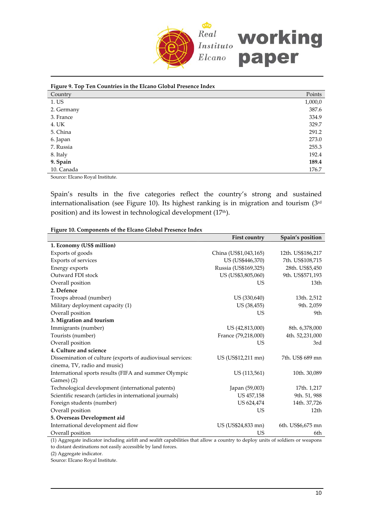

| Figure 9. Top Ten Countries in the Elcano Global Presence Index |         |
|-----------------------------------------------------------------|---------|
| Country                                                         | Points  |
| 1. US                                                           | 1,000,0 |
| 2. Germany                                                      | 387.6   |
| 3. France                                                       | 334.9   |
| 4. UK                                                           | 329.7   |
| 5. China                                                        | 291.2   |
| 6. Japan                                                        | 273.0   |
| 7. Russia                                                       | 255.3   |
| 8. Italy                                                        | 192.4   |
| 9. Spain                                                        | 189.4   |
| 10. Canada                                                      | 176.7   |
|                                                                 |         |

Source: Elcano Royal Institute.

Spain's results in the five categories reflect the country's strong and sustained internationalisation (see Figure 10). Its highest ranking is in migration and tourism (3rd position) and its lowest in technological development (17<sup>th</sup>).

**Figure 10. Components of the Elcano Global Presence Index**

| 1. Economy (US\$ million)<br>Exports of goods<br>China (US\$1,043,165)<br>12th. US\$186,217<br>Exports of services<br>7th. US\$108,715<br>US (US\$446,370)<br>Russia (US\$169,325)<br>Energy exports<br>28th. US\$5,450<br>Outward FDI stock<br>US (US\$3,805,060)<br>9th. US\$571,193 |
|----------------------------------------------------------------------------------------------------------------------------------------------------------------------------------------------------------------------------------------------------------------------------------------|
|                                                                                                                                                                                                                                                                                        |
|                                                                                                                                                                                                                                                                                        |
|                                                                                                                                                                                                                                                                                        |
|                                                                                                                                                                                                                                                                                        |
|                                                                                                                                                                                                                                                                                        |
| Overall position<br>US<br>13th                                                                                                                                                                                                                                                         |
| 2. Defence                                                                                                                                                                                                                                                                             |
| Troops abroad (number)<br>US (330,640)<br>13th. 2,512                                                                                                                                                                                                                                  |
| Military deployment capacity (1)<br>US (38,455)<br>9th. 2,059                                                                                                                                                                                                                          |
| Overall position<br>US<br>9th                                                                                                                                                                                                                                                          |
| 3. Migration and tourism                                                                                                                                                                                                                                                               |
| Immigrants (number)<br>US (42,813,000)<br>8th. 6,378,000                                                                                                                                                                                                                               |
| Tourists (number)<br>France (79,218,000)<br>4th. 52,231,000                                                                                                                                                                                                                            |
| Overall position<br>US<br>3rd                                                                                                                                                                                                                                                          |
| 4. Culture and science                                                                                                                                                                                                                                                                 |
| Dissemination of culture (exports of audiovisual services:<br>US (US\$12,211 mn)<br>7th. US\$ 689 mn                                                                                                                                                                                   |
| cinema, TV, radio and music)                                                                                                                                                                                                                                                           |
| International sports results (FIFA and summer Olympic<br>US (113,561)<br>10th. 30,089                                                                                                                                                                                                  |
| Games) (2)                                                                                                                                                                                                                                                                             |
| Technological development (international patents)<br>Japan (59,003)<br>17th. 1,217                                                                                                                                                                                                     |
| Scientific research (articles in international journals)<br>US 457,158<br>9th. 51, 988                                                                                                                                                                                                 |
| Foreign students (number)<br>US 624,474<br>14th. 37,726                                                                                                                                                                                                                                |
| Overall position<br>US<br>12th                                                                                                                                                                                                                                                         |
| 5. Overseas Development aid                                                                                                                                                                                                                                                            |
| International development aid flow<br>US (US\$24,833 mn)<br>6th. US\$6,675 mn                                                                                                                                                                                                          |
| Overall position<br>US<br>6th                                                                                                                                                                                                                                                          |

(1) Aggregate indicator including airlift and sealift capabilities that allow a country to deploy units of soldiers or weapons to distant destinations not easily accessible by land forces.

(2) Aggregate indicator.

Source: Elcano Royal Institute.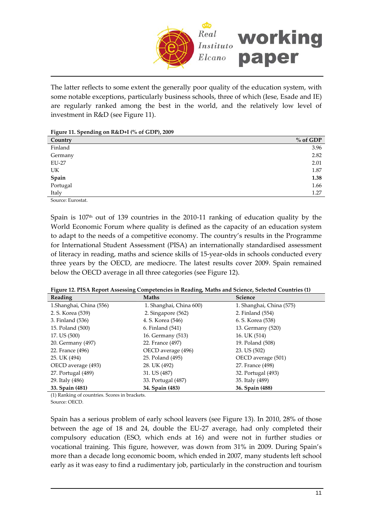

The latter reflects to some extent the generally poor quality of the education system, with some notable exceptions, particularly business schools, three of which (Iese, Esade and IE) are regularly ranked among the best in the world, and the relatively low level of investment in R&D (see Figure 11).

**Figure 11. Spending on R&D+I (% of GDP), 2009**

| Country       | $%$ of GDP |
|---------------|------------|
| Finland       | 3.96       |
| Germany       | 2.82       |
| <b>EU-27</b>  | 2.01       |
| UK            | 1.87       |
| ${\bf Spain}$ | 1.38       |
| Portugal      | 1.66       |
| Italy         | 1.27       |
|               |            |

Source: Eurostat.

Spain is  $107<sup>th</sup>$  out of 139 countries in the 2010-11 ranking of education quality by the World Economic Forum where quality is defined as the capacity of an education system to adapt to the needs of a competitive economy. The country's results in the Programme for International Student Assessment (PISA) an internationally standardised assessment of literacy in reading, maths and science skills of 15‐year‐olds in schools conducted every three years by the OECD, are mediocre. The latest results cover 2009. Spain remained below the OECD average in all three categories (see Figure 12).

|  |  |  |  | Figure 12. PISA Report Assessing Competencies in Reading, Maths and Science, Selected Countries (1) |  |
|--|--|--|--|-----------------------------------------------------------------------------------------------------|--|
|--|--|--|--|-----------------------------------------------------------------------------------------------------|--|

| Reading                 | <b>Maths</b>            | <b>Science</b>           |
|-------------------------|-------------------------|--------------------------|
| 1.Shanghai, China (556) | 1. Shanghai, China 600) | 1. Shanghai, China (575) |
| 2. S. Korea (539)       | 2. Singapore $(562)$    | 2. Finland (554)         |
| 3. Finland (536)        | 4. S. Korea (546)       | 6. S. Korea (538)        |
| 15. Poland (500)        | 6. Finland (541)        | 13. Germany (520)        |
| 17. US (500)            | 16. Germany (513)       | 16. UK (514)             |
| 20. Germany (497)       | 22. France (497)        | 19. Poland (508)         |
| 22. France (496)        | OECD average (496)      | 23. US (502)             |
| 25. UK (494)            | 25. Poland (495)        | OECD average (501)       |
| OECD average (493)      | 28. UK (492)            | 27. France (498)         |
| 27. Portugal (489)      | 31. US (487)            | 32. Portugal (493)       |
| 29. Italy (486)         | 33. Portugal (487)      | 35. Italy (489)          |
| 33. Spain (481)         | 34. Spain (483)         | 36. Spain (488)          |

(1) Ranking of countries. Scores in brackets.

Source: OECD.

ſ

Spain has a serious problem of early school leavers (see Figure 13). In 2010, 28% of those between the age of 18 and 24, double the EU‐27 average, had only completed their compulsory education (ESO, which ends at 16) and were not in further studies or vocational training. This figure, however, was down from 31% in 2009. During Spain's more than a decade long economic boom, which ended in 2007, many students left school early as it was easy to find a rudimentary job, particularly in the construction and tourism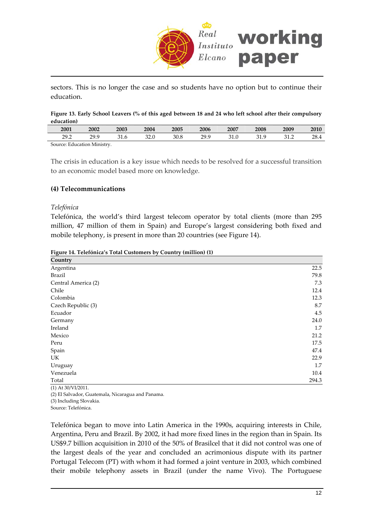

sectors. This is no longer the case and so students have no option but to continue their education.

Figure 13. Early School Leavers (% of this aged between 18 and 24 who left school after their compulsory **education)**

| 2001                        | 2002 | 2003 | 2004 | 2005 | 2006 | 2007         | 2008 | 2009          | 2010 |
|-----------------------------|------|------|------|------|------|--------------|------|---------------|------|
| 29.2                        | 29 g | ົາ 1 | ററ റ | 30.8 | 29.9 | 21 O<br>J1.U | 31.9 | າາ າ<br>ے ۔ ب | 28.  |
| Source: Education Ministry. |      |      |      |      |      |              |      |               |      |

The crisis in education is a key issue which needs to be resolved for a successful transition to an economic model based more on knowledge.

#### **(4) Telecommunications**

#### *Telefónica*

Telefónica, the world's third largest telecom operator by total clients (more than 295 million, 47 million of them in Spain) and Europe's largest considering both fixed and mobile telephony, is present in more than 20 countries (see Figure 14).

| Figure 14. Telefónica's Total Customers by Country (million) (1) |  |  |  |
|------------------------------------------------------------------|--|--|--|
|                                                                  |  |  |  |

| Country              |       |
|----------------------|-------|
| Argentina            | 22.5  |
| <b>Brazil</b>        | 79.8  |
| Central America (2)  | 7.3   |
| Chile                | 12.4  |
| Colombia             | 12.3  |
| Czech Republic (3)   | 8.7   |
| Ecuador              | 4.5   |
| Germany              | 24.0  |
| Ireland              | 1.7   |
| Mexico               | 21.2  |
| Peru                 | 17.5  |
| Spain                | 47.4  |
| UK                   | 22.9  |
| Uruguay              | 1.7   |
| Venezuela            | 10.4  |
| Total                | 294.3 |
| $(1)$ At 30/VI/2011. |       |

(2) El Salvador, Guatemala, Nicaragua and Panama.

(3) Including Slovakia.

Source: Telefónica.

Telefónica began to move into Latin America in the 1990s, acquiring interests in Chile, Argentina, Peru and Brazil. By 2002, it had more fixed lines in the region than in Spain. Its US\$9.7 billion acquisition in 2010 of the 50% of Brasilcel that it did not control was one of the largest deals of the year and concluded an acrimonious dispute with its partner Portugal Telecom (PT) with whom it had formed a joint venture in 2003, which combined their mobile telephony assets in Brazil (under the name Vivo). The Portuguese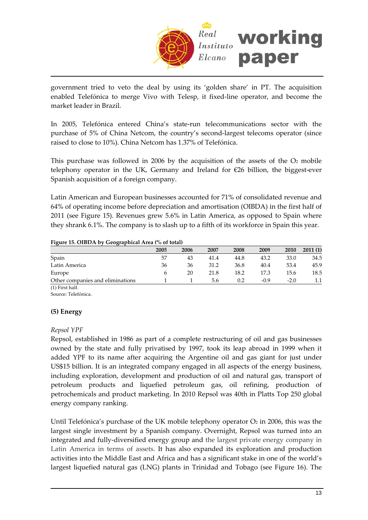

government tried to veto the deal by using its 'golden share' in PT. The acquisition enabled Telefónica to merge Vivo with Telesp, it fixed-line operator, and become the market leader in Brazil.

In 2005, Telefónica entered China's state‐run telecommunications sector with the purchase of 5% of China Netcom, the country's second‐largest telecoms operator (since raised to close to 10%). China Netcom has 1.37% of Telefónica.

This purchase was followed in 2006 by the acquisition of the assets of the  $O<sub>2</sub>$  mobile telephony operator in the UK, Germany and Ireland for  $E26$  billion, the biggest-ever Spanish acquisition of a foreign company.

Latin American and European businesses accounted for 71% of consolidated revenue and 64% of operating income before depreciation and amortisation (OIBDA) in the first half of 2011 (see Figure 15). Revenues grew 5.6% in Latin America, as opposed to Spain where they shrank 6.1%. The company is to slash up to a fifth of its workforce in Spain this year.

#### **Figure 15. OIBDA by Geographical Area (% of total)**

| ັ<br>. .                         |      |      |      |      |        |        |         |
|----------------------------------|------|------|------|------|--------|--------|---------|
|                                  | 2005 | 2006 | 2007 | 2008 | 2009   | 2010   | 2011(1) |
| Spain                            | 57   | 43   | 41.4 | 44.8 | 43.2   | 33.0   | 34.5    |
| Latin America                    | 36   | 36   | 31.2 | 36.8 | 40.4   | 53.4   | 45.9    |
| Europe                           |      | 20   | 21.8 | 18.2 | 17.3   | 15.6   | 18.5    |
| Other companies and eliminations |      |      | 5.6  | 0.2  | $-0.9$ | $-2.0$ |         |
|                                  |      |      |      |      |        |        |         |

(1) First half.

Source: Telefónica.

#### **(5) Energy**

#### *Repsol YPF*

Repsol, established in 1986 as part of a complete restructuring of oil and gas businesses owned by the state and fully privatised by 1997, took its leap abroad in 1999 when it added YPF to its name after acquiring the Argentine oil and gas giant for just under US\$15 billion. It is an integrated company engaged in all aspects of the energy business, including exploration, development and production of oil and natural gas, transport of petroleum products and liquefied petroleum gas, oil refining, production of petrochemicals and product marketing. In 2010 Repsol was 40th in Platts Top 250 global energy company ranking.

Until Telefónica's purchase of the UK mobile telephony operator  $O<sub>2</sub>$  in 2006, this was the largest single investment by a Spanish company. Overnight, Repsol was turned into an integrated and fully‐diversified energy group and the largest private energy company in Latin America in terms of assets. It has also expanded its exploration and production activities into the Middle East and Africa and has a significant stake in one of the world's largest liquefied natural gas (LNG) plants in Trinidad and Tobago (see Figure 16). The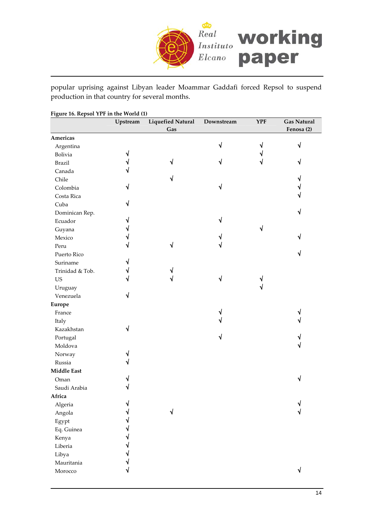

popular uprising against Libyan leader Moammar Gaddafi forced Repsol to suspend production in that country for several months.

| Gas<br>Fenosa (2)<br>√<br>√<br>Argentina<br>√<br>√<br>Bolivia<br>√<br>√<br><b>Brazil</b><br>V<br>Canada<br>Chile<br>√<br>√<br>√<br>√<br>Colombia<br>√<br>Costa Rica<br>√<br>Cuba<br>√<br>Dominican Rep.<br>$\sqrt{ }$<br>Ecuador<br>√<br>Guyana<br>٦I<br>Mexico<br>ึง<br>√<br>√<br>Peru<br>√<br>Puerto Rico<br>Suriname<br>٦I<br>Trinidad & Tob.<br>٦I<br>√<br>$_{\rm US}$<br>V<br>Uruguay<br>√<br>Venezuela<br>√<br>France<br>√<br>Italy<br>√<br>Kazakhstan<br>√<br>Portugal<br>Moldova<br>Norway<br>Russia<br>√<br>Oman<br>Saudi Arabia<br>Africa<br>Algeria<br>√<br>Angola<br>Egypt<br>Eq. Guinea |                    | Upstream | <b>Liquefied Natural</b> | Downstream | <b>YPF</b> | <b>Gas Natural</b> |
|------------------------------------------------------------------------------------------------------------------------------------------------------------------------------------------------------------------------------------------------------------------------------------------------------------------------------------------------------------------------------------------------------------------------------------------------------------------------------------------------------------------------------------------------------------------------------------------------------|--------------------|----------|--------------------------|------------|------------|--------------------|
|                                                                                                                                                                                                                                                                                                                                                                                                                                                                                                                                                                                                      |                    |          |                          |            |            |                    |
|                                                                                                                                                                                                                                                                                                                                                                                                                                                                                                                                                                                                      | Americas           |          |                          |            |            |                    |
|                                                                                                                                                                                                                                                                                                                                                                                                                                                                                                                                                                                                      |                    |          |                          |            |            |                    |
|                                                                                                                                                                                                                                                                                                                                                                                                                                                                                                                                                                                                      |                    |          |                          |            |            |                    |
|                                                                                                                                                                                                                                                                                                                                                                                                                                                                                                                                                                                                      |                    |          |                          |            |            |                    |
|                                                                                                                                                                                                                                                                                                                                                                                                                                                                                                                                                                                                      |                    |          |                          |            |            |                    |
|                                                                                                                                                                                                                                                                                                                                                                                                                                                                                                                                                                                                      |                    |          |                          |            |            |                    |
|                                                                                                                                                                                                                                                                                                                                                                                                                                                                                                                                                                                                      |                    |          |                          |            |            |                    |
|                                                                                                                                                                                                                                                                                                                                                                                                                                                                                                                                                                                                      |                    |          |                          |            |            |                    |
|                                                                                                                                                                                                                                                                                                                                                                                                                                                                                                                                                                                                      |                    |          |                          |            |            |                    |
|                                                                                                                                                                                                                                                                                                                                                                                                                                                                                                                                                                                                      |                    |          |                          |            |            |                    |
|                                                                                                                                                                                                                                                                                                                                                                                                                                                                                                                                                                                                      |                    |          |                          |            |            |                    |
|                                                                                                                                                                                                                                                                                                                                                                                                                                                                                                                                                                                                      |                    |          |                          |            |            |                    |
|                                                                                                                                                                                                                                                                                                                                                                                                                                                                                                                                                                                                      |                    |          |                          |            |            |                    |
|                                                                                                                                                                                                                                                                                                                                                                                                                                                                                                                                                                                                      |                    |          |                          |            |            |                    |
|                                                                                                                                                                                                                                                                                                                                                                                                                                                                                                                                                                                                      |                    |          |                          |            |            |                    |
|                                                                                                                                                                                                                                                                                                                                                                                                                                                                                                                                                                                                      |                    |          |                          |            |            |                    |
|                                                                                                                                                                                                                                                                                                                                                                                                                                                                                                                                                                                                      |                    |          |                          |            |            |                    |
|                                                                                                                                                                                                                                                                                                                                                                                                                                                                                                                                                                                                      |                    |          |                          |            |            |                    |
|                                                                                                                                                                                                                                                                                                                                                                                                                                                                                                                                                                                                      |                    |          |                          |            |            |                    |
|                                                                                                                                                                                                                                                                                                                                                                                                                                                                                                                                                                                                      |                    |          |                          |            |            |                    |
|                                                                                                                                                                                                                                                                                                                                                                                                                                                                                                                                                                                                      | <b>Europe</b>      |          |                          |            |            |                    |
|                                                                                                                                                                                                                                                                                                                                                                                                                                                                                                                                                                                                      |                    |          |                          |            |            |                    |
|                                                                                                                                                                                                                                                                                                                                                                                                                                                                                                                                                                                                      |                    |          |                          |            |            |                    |
|                                                                                                                                                                                                                                                                                                                                                                                                                                                                                                                                                                                                      |                    |          |                          |            |            |                    |
|                                                                                                                                                                                                                                                                                                                                                                                                                                                                                                                                                                                                      |                    |          |                          |            |            |                    |
|                                                                                                                                                                                                                                                                                                                                                                                                                                                                                                                                                                                                      |                    |          |                          |            |            |                    |
|                                                                                                                                                                                                                                                                                                                                                                                                                                                                                                                                                                                                      |                    |          |                          |            |            |                    |
|                                                                                                                                                                                                                                                                                                                                                                                                                                                                                                                                                                                                      |                    |          |                          |            |            |                    |
|                                                                                                                                                                                                                                                                                                                                                                                                                                                                                                                                                                                                      | <b>Middle East</b> |          |                          |            |            |                    |
|                                                                                                                                                                                                                                                                                                                                                                                                                                                                                                                                                                                                      |                    |          |                          |            |            |                    |
|                                                                                                                                                                                                                                                                                                                                                                                                                                                                                                                                                                                                      |                    |          |                          |            |            |                    |
|                                                                                                                                                                                                                                                                                                                                                                                                                                                                                                                                                                                                      |                    |          |                          |            |            |                    |
|                                                                                                                                                                                                                                                                                                                                                                                                                                                                                                                                                                                                      |                    |          |                          |            |            |                    |
|                                                                                                                                                                                                                                                                                                                                                                                                                                                                                                                                                                                                      |                    |          |                          |            |            |                    |
|                                                                                                                                                                                                                                                                                                                                                                                                                                                                                                                                                                                                      |                    |          |                          |            |            |                    |
|                                                                                                                                                                                                                                                                                                                                                                                                                                                                                                                                                                                                      |                    |          |                          |            |            |                    |
|                                                                                                                                                                                                                                                                                                                                                                                                                                                                                                                                                                                                      | Kenya              |          |                          |            |            |                    |
| Liberia                                                                                                                                                                                                                                                                                                                                                                                                                                                                                                                                                                                              |                    |          |                          |            |            |                    |
| Libya                                                                                                                                                                                                                                                                                                                                                                                                                                                                                                                                                                                                |                    |          |                          |            |            |                    |
| Mauritania                                                                                                                                                                                                                                                                                                                                                                                                                                                                                                                                                                                           |                    |          |                          |            |            |                    |
| √<br>Morocco                                                                                                                                                                                                                                                                                                                                                                                                                                                                                                                                                                                         |                    |          |                          |            |            |                    |

**Figure 16. Repsol YPF in the World (1)**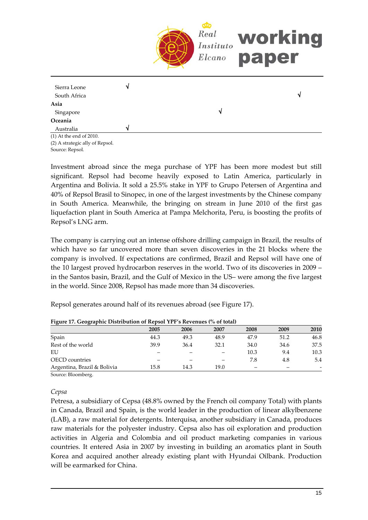

(1) At the end of 2010. (2) A strategic ally of Repsol. Source: Repsol.

Investment abroad since the mega purchase of YPF has been more modest but still significant. Repsol had become heavily exposed to Latin America, particularly in Argentina and Bolivia. It sold a 25.5% stake in YPF to Grupo Petersen of Argentina and 40% of Repsol Brasil to Sinopec, in one of the largest investments by the Chinese company in South America. Meanwhile, the bringing on stream in June 2010 of the first gas liquefaction plant in South America at Pampa Melchorita, Peru, is boosting the profits of Repsol's LNG arm.

The company is carrying out an intense offshore drilling campaign in Brazil, the results of which have so far uncovered more than seven discoveries in the 21 blocks where the company is involved. If expectations are confirmed, Brazil and Repsol will have one of the 10 largest proved hydrocarbon reserves in the world. Two of its discoveries in 2009 – in the Santos basin, Brazil, and the Gulf of Mexico in the US– were among the five largest in the world. Since 2008, Repsol has made more than 34 discoveries.

Repsol generates around half of its revenues abroad (see Figure 17).

|                             | 2005 | 2006 | 2007 | 2008                     | 2009 | 2010 |
|-----------------------------|------|------|------|--------------------------|------|------|
| Spain                       | 44.3 | 49.3 | 48.9 | 47.9                     | 51.2 | 46.8 |
| Rest of the world           | 39.9 | 36.4 | 32.1 | 34.0                     | 34.6 | 37.5 |
| EU                          |      |      |      | 10.3                     | 9.4  | 10.3 |
| <b>OECD</b> countries       |      |      |      | 7.8                      | 4.8  | 5.4  |
| Argentina, Brazil & Bolivia | 15.8 | 14.3 | 19.0 | $\overline{\phantom{a}}$ | -    |      |
| $\mathbf{r}$<br>$\sim$      |      |      |      |                          |      |      |

**Figure 17. Geographic Distribution of Repsol YPF's Revenues (% of total)**

Source: Bloomberg.

#### *Cepsa*

Petresa, a subsidiary of Cepsa (48.8% owned by the French oil company Total) with plants in Canada, Brazil and Spain, is the world leader in the production of linear alkylbenzene (LAB), a raw material for detergents. Interquisa, another subsidiary in Canada, produces raw materials for the polyester industry. Cepsa also has oil exploration and production activities in Algeria and Colombia and oil product marketing companies in various countries. It entered Asia in 2007 by investing in building an aromatics plant in South Korea and acquired another already existing plant with Hyundai Oilbank. Production will be earmarked for China.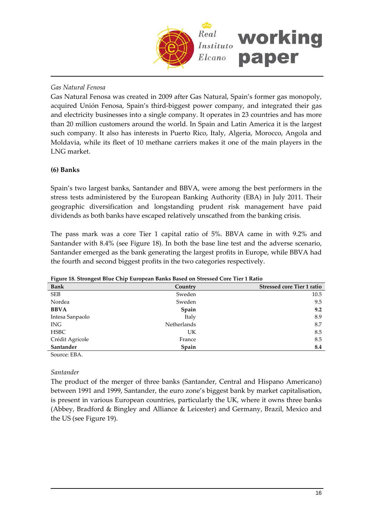

### *Gas Natural Fenosa*

Gas Natural Fenosa was created in 2009 after Gas Natural, Spain's former gas monopoly, acquired Unión Fenosa, Spain's third‐biggest power company, and integrated their gas and electricity businesses into a single company. It operates in 23 countries and has more than 20 million customers around the world. In Spain and Latin America it is the largest such company. It also has interests in Puerto Rico, Italy, Algeria, Morocco, Angola and Moldavia, while its fleet of 10 methane carriers makes it one of the main players in the LNG market.

#### **(6) Banks**

Spain's two largest banks, Santander and BBVA, were among the best performers in the stress tests administered by the European Banking Authority (EBA) in July 2011. Their geographic diversification and longstanding prudent risk management have paid dividends as both banks have escaped relatively unscathed from the banking crisis.

The pass mark was a core Tier 1 capital ratio of 5%. BBVA came in with 9.2% and Santander with 8.4% (see Figure 18). In both the base line test and the adverse scenario, Santander emerged as the bank generating the largest profits in Europe, while BBVA had the fourth and second biggest profits in the two categories respectively.

| <b>Bank</b>     | Country     | <b>Stressed core Tier 1 ratio</b> |
|-----------------|-------------|-----------------------------------|
| <b>SEB</b>      | Sweden      | 10.5                              |
| Nordea          | Sweden      | 9.5                               |
| <b>BBVA</b>     | Spain       | 9.2                               |
| Intesa Sanpaolo | Italy       | 8.9                               |
| <b>ING</b>      | Netherlands | 8.7                               |
| <b>HSBC</b>     | UK          | 8.5                               |
| Crédit Agricole | France      | 8.5                               |
| Santander       | Spain       | 8.4                               |

**Figure 18. Strongest Blue Chip European Banks Based on Stressed Core Tier 1 Ratio**

Source: EBA.

#### *Santander*

The product of the merger of three banks (Santander, Central and Hispano Americano) between 1991 and 1999, Santander, the euro zone's biggest bank by market capitalisation, is present in various European countries, particularly the UK, where it owns three banks (Abbey, Bradford & Bingley and Alliance & Leicester) and Germany, Brazil, Mexico and the US (see Figure 19).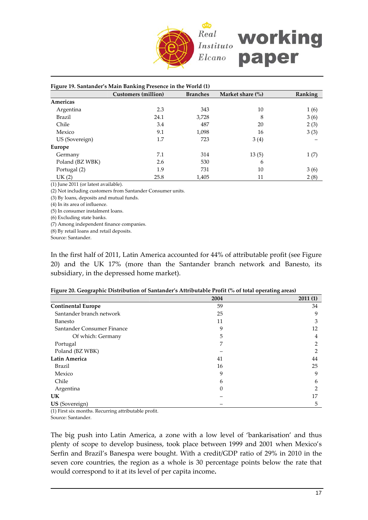

| Figure 19. Santander's Main Banking Presence in the World (1) |                            |                 |                            |         |  |  |  |  |
|---------------------------------------------------------------|----------------------------|-----------------|----------------------------|---------|--|--|--|--|
|                                                               | <b>Customers</b> (million) | <b>Branches</b> | Market share $\frac{6}{6}$ | Ranking |  |  |  |  |
| Americas                                                      |                            |                 |                            |         |  |  |  |  |
| Argentina                                                     | 2.3                        | 343             | 10                         | 1(6)    |  |  |  |  |
| <b>Brazil</b>                                                 | 24.1                       | 3,728           | 8                          | 3(6)    |  |  |  |  |
| Chile                                                         | 3.4                        | 487             | 20                         | 2(3)    |  |  |  |  |
| Mexico                                                        | 9.1                        | 1,098           | 16                         | 3(3)    |  |  |  |  |
| US (Sovereign)                                                | 1.7                        | 723             | 3(4)                       |         |  |  |  |  |
| Europe                                                        |                            |                 |                            |         |  |  |  |  |
| Germany                                                       | 7.1                        | 314             | 13(5)                      | 1(7)    |  |  |  |  |
| Poland (BZ WBK)                                               | 2.6                        | 530             | 6                          |         |  |  |  |  |
| Portugal (2)                                                  | 1.9                        | 731             | 10                         | 3(6)    |  |  |  |  |
| UK(2)                                                         | 25.8                       | 1,405           | 11                         | 2(8)    |  |  |  |  |

(1) June 2011 (or latest available).

(2) Not including customers from Santander Consumer units.

(3) By loans, deposits and mutual funds.

(4) In its area of influence.

(5) In consumer instalment loans.

(6) Excluding state banks.

(7) Among independent finance companies.

(8) By retail loans and retail deposits.

Source: Santander.

In the first half of 2011, Latin America accounted for 44% of attributable profit (see Figure 20) and the UK 17% (more than the Santander branch network and Banesto, its subsidiary, in the depressed home market).

|  |  | Figure 20. Geographic Distribution of Santander's Attributable Profit (% of total operating areas) |  |  |
|--|--|----------------------------------------------------------------------------------------------------|--|--|
|  |  |                                                                                                    |  |  |

| ັ<br>ັ<br>. .              |      | ັ       |
|----------------------------|------|---------|
|                            | 2004 | 2011(1) |
| <b>Continental Europe</b>  | 59   | 34      |
| Santander branch network   | 25   | 9       |
| Banesto                    | 11   | 3       |
| Santander Consumer Finance | 9    | 12      |
| Of which: Germany          | 5    | 4       |
| Portugal                   | 7    | 2       |
| Poland (BZ WBK)            |      | 2       |
| <b>Latin America</b>       | 41   | 44      |
| <b>Brazil</b>              | 16   | 25      |
| Mexico                     | 9    | 9       |
| Chile                      | 6    | 6       |
| Argentina                  | 0    | າ       |
| <b>UK</b>                  |      | 17      |
| US (Sovereign)             |      | 5       |

(1) First six months. Recurring attributable profit.

Source: Santander.

The big push into Latin America, a zone with a low level of 'bankarisation' and thus plenty of scope to develop business, took place between 1999 and 2001 when Mexico's Serfin and Brazil's Banespa were bought. With a credit/GDP ratio of 29% in 2010 in the seven core countries, the region as a whole is 30 percentage points below the rate that would correspond to it at its level of per capita income**.**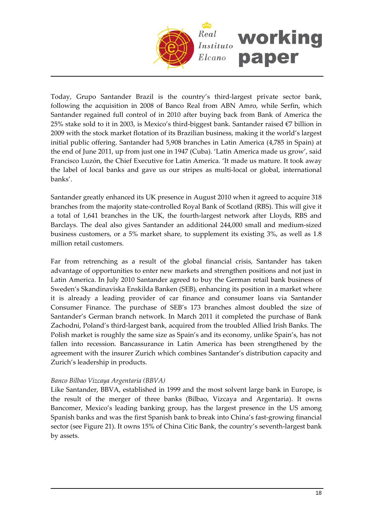

Today, Grupo Santander Brazil is the country's third-largest private sector bank, following the acquisition in 2008 of Banco Real from ABN Amro, while Serfin, which Santander regained full control of in 2010 after buying back from Bank of America the 25% stake sold to it in 2003, is Mexico's third‐biggest bank. Santander raised €7 billion in 2009 with the stock market flotation of its Brazilian business, making it the world's largest initial public offering. Santander had 5,908 branches in Latin America (4,785 in Spain) at the end of June 2011, up from just one in 1947 (Cuba). 'Latin America made us grow', said Francisco Luzón, the Chief Executive for Latin America. 'It made us mature. It took away the label of local banks and gave us our stripes as multi‐local or global, international banks'.

Santander greatly enhanced its UK presence in August 2010 when it agreed to acquire 318 branches from the majority state‐controlled Royal Bank of Scotland (RBS). This will give it a total of 1,641 branches in the UK, the fourth‐largest network after Lloyds, RBS and Barclays. The deal also gives Santander an additional 244,000 small and medium‐sized business customers, or a 5% market share, to supplement its existing 3%, as well as 1.8 million retail customers.

Far from retrenching as a result of the global financial crisis, Santander has taken advantage of opportunities to enter new markets and strengthen positions and not just in Latin America. In July 2010 Santander agreed to buy the German retail bank business of Sweden's Skandinaviska Enskilda Banken (SEB), enhancing its position in a market where it is already a leading provider of car finance and consumer loans via Santander Consumer Finance. The purchase of SEB's 173 branches almost doubled the size of Santander's German branch network. In March 2011 it completed the purchase of Bank Zachodni, Poland's third‐largest bank, acquired from the troubled Allied Irish Banks. The Polish market is roughly the same size as Spain's and its economy, unlike Spain's, has not fallen into recession. Bancassurance in Latin America has been strengthened by the agreement with the insurer Zurich which combines Santander's distribution capacity and Zurich's leadership in products.

#### *Banco Bilbao Vizcaya Argentaria (BBVA)*

Like Santander, BBVA, established in 1999 and the most solvent large bank in Europe, is the result of the merger of three banks (Bilbao, Vizcaya and Argentaria). It owns Bancomer, Mexico's leading banking group, has the largest presence in the US among Spanish banks and was the first Spanish bank to break into China's fast-growing financial sector (see Figure 21). It owns 15% of China Citic Bank, the country's seventh-largest bank by assets.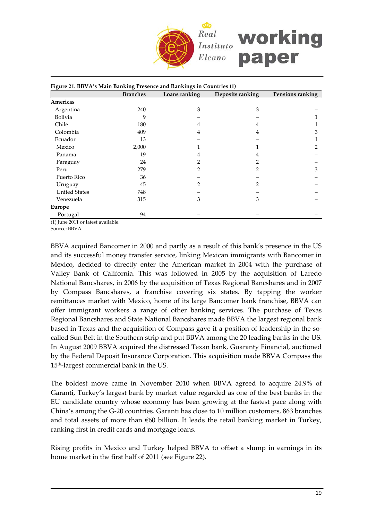

|                      | <b>Branches</b> | Loans ranking  | Deposits ranking | Pensions ranking |
|----------------------|-----------------|----------------|------------------|------------------|
| Americas             |                 |                |                  |                  |
| Argentina            | 240             | 3              | 3                |                  |
| Bolivia              | 9               |                |                  |                  |
| Chile                | 180             | 4              | 4                |                  |
| Colombia             | 409             | 4              | 4                | 3                |
| Ecuador              | 13              |                |                  |                  |
| Mexico               | 2,000           |                |                  | 2                |
| Panama               | 19              | 4              | 4                |                  |
| Paraguay             | 24              | 2              |                  |                  |
| Peru                 | 279             | $\overline{2}$ | 2                | 3                |
| Puerto Rico          | 36              |                |                  |                  |
| Uruguay              | 45              | $\mathcal{P}$  | 2                |                  |
| <b>United States</b> | 748             |                |                  |                  |
| Venezuela            | 315             | 3              | 3                |                  |
| Europe               |                 |                |                  |                  |
| Portugal             | 94              |                |                  |                  |

(1) June 2011 or latest available.

Source: BBVA.

BBVA acquired Bancomer in 2000 and partly as a result of this bank's presence in the US and its successful money transfer service, linking Mexican immigrants with Bancomer in Mexico, decided to directly enter the American market in 2004 with the purchase of Valley Bank of California. This was followed in 2005 by the acquisition of Laredo National Bancshares, in 2006 by the acquisition of Texas Regional Bancshares and in 2007 by Compass Bancshares, a franchise covering six states. By tapping the worker remittances market with Mexico, home of its large Bancomer bank franchise, BBVA can offer immigrant workers a range of other banking services. The purchase of Texas Regional Bancshares and State National Bancshares made BBVA the largest regional bank based in Texas and the acquisition of Compass gave it a position of leadership in the so‐ called Sun Belt in the Southern strip and put BBVA among the 20 leading banks in the US. In August 2009 BBVA acquired the distressed Texan bank, Guaranty Financial, auctioned by the Federal Deposit Insurance Corporation. This acquisition made BBVA Compass the 15th‐largest commercial bank in the US.

The boldest move came in November 2010 when BBVA agreed to acquire 24.9% of Garanti, Turkey's largest bank by market value regarded as one of the best banks in the EU candidate country whose economy has been growing at the fastest pace along with China's among the G‐20 countries. Garanti has close to 10 million customers, 863 branches and total assets of more than  $€60$  billion. It leads the retail banking market in Turkey, ranking first in credit cards and mortgage loans.

Rising profits in Mexico and Turkey helped BBVA to offset a slump in earnings in its home market in the first half of 2011 (see Figure 22).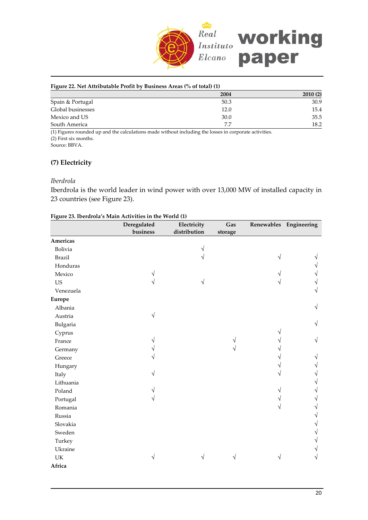

#### **Figure 22. Net Attributable Profit by Business Areas (% of total) (1)**

|                   | 2004 | 2010(2) |
|-------------------|------|---------|
| Spain & Portugal  | 50.3 | 30.9    |
| Global businesses | 12.0 | 15.4    |
| Mexico and US     | 30.0 | 35.5    |
| South America     | 7.7  | 18.2    |
| .                 |      |         |

(1) Figures rounded up and the calculations made without including the losses in corporate activities. (2) First six months.

Source: BBVA.

#### **(7) Electricity**

#### *Iberdrola*

Iberdrola is the world leader in wind power with over 13,000 MW of installed capacity in 23 countries (see Figure 23).

| Figure 23. Iberdrola's Main Activities in the World (1) |  |  |
|---------------------------------------------------------|--|--|
|                                                         |  |  |

|               | Deregulated | Electricity  | Gas     |   | Renewables Engineering |
|---------------|-------------|--------------|---------|---|------------------------|
|               | business    | distribution | storage |   |                        |
| Americas      |             |              |         |   |                        |
| Bolivia       |             | V            |         |   |                        |
| <b>Brazil</b> |             | V            |         | V |                        |
| Honduras      |             |              |         |   |                        |
| Mexico        |             |              |         |   |                        |
| <b>US</b>     |             | V            |         |   |                        |
| Venezuela     |             |              |         |   | V                      |
| <b>Europe</b> |             |              |         |   |                        |
| Albania       |             |              |         |   | √                      |
| Austria       | $\sqrt{}$   |              |         |   |                        |
| Bulgaria      |             |              |         |   | V                      |
| Cyprus        |             |              |         |   |                        |
| France        |             |              |         |   | V                      |
| Germany       |             |              |         |   |                        |
| Greece        |             |              |         |   |                        |
| Hungary       |             |              |         |   |                        |
| Italy         |             |              |         |   |                        |
| Lithuania     |             |              |         |   |                        |
| Poland        |             |              |         |   |                        |
| Portugal      |             |              |         |   |                        |
| Romania       |             |              |         |   |                        |
| Russia        |             |              |         |   |                        |
| Slovakia      |             |              |         |   |                        |
| Sweden        |             |              |         |   |                        |
| Turkey        |             |              |         |   |                        |
| Ukraine       |             |              |         |   |                        |
| UK            | V           | V            |         | V | V                      |
| Africa        |             |              |         |   |                        |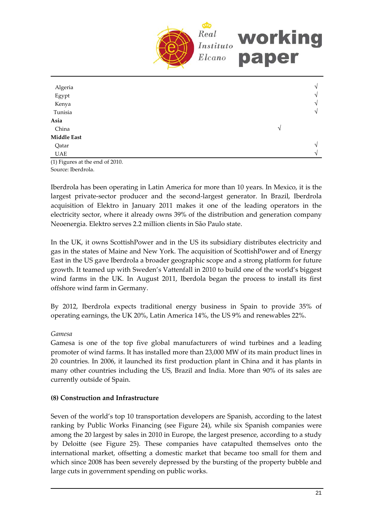

| Algeria<br>Egypt<br>Kenya<br>Tunisia |   | N<br>$\sqrt{ }$<br>$\sqrt{ }$<br>$\sqrt{ }$ |
|--------------------------------------|---|---------------------------------------------|
| Asia<br>China                        | V |                                             |
| <b>Middle East</b>                   |   |                                             |
| Qatar                                |   | $\mathcal{N}$                               |
| UAE                                  |   | $\sqrt{ }$                                  |

(1) Figures at the end of 2010. Source: Iberdrola.

Iberdrola has been operating in Latin America for more than 10 years. In Mexico, it is the largest private‐sector producer and the second‐largest generator. In Brazil, Iberdrola acquisition of Elektro in January 2011 makes it one of the leading operators in the electricity sector, where it already owns 39% of the distribution and generation company Neoenergia. Elektro serves 2.2 million clients in São Paulo state.

In the UK, it owns ScottishPower and in the US its subsidiary distributes electricity and gas in the states of Maine and New York. The acquisition of ScottishPower and of Energy East in the US gave Iberdrola a broader geographic scope and a strong platform for future growth. It teamed up with Sweden's Vattenfall in 2010 to build one of the world's biggest wind farms in the UK. In August 2011, Iberdola began the process to install its first offshore wind farm in Germany.

By 2012, Iberdrola expects traditional energy business in Spain to provide 35% of operating earnings, the UK 20%, Latin America 14%, the US 9% and renewables 22%.

### *Gamesa*

Gamesa is one of the top five global manufacturers of wind turbines and a leading promoter of wind farms. It has installed more than 23,000 MW of its main product lines in 20 countries. In 2006, it launched its first production plant in China and it has plants in many other countries including the US, Brazil and India. More than 90% of its sales are currently outside of Spain.

# **(8) Construction and Infrastructure**

Seven of the world's top 10 transportation developers are Spanish, according to the latest ranking by Public Works Financing (see Figure 24), while six Spanish companies were among the 20 largest by sales in 2010 in Europe, the largest presence, according to a study by Deloitte (see Figure 25). These companies have catapulted themselves onto the international market, offsetting a domestic market that became too small for them and which since 2008 has been severely depressed by the bursting of the property bubble and large cuts in government spending on public works.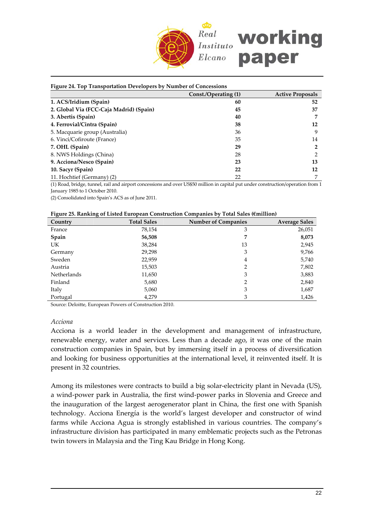

| Figure 24. Top Transportation Developers by Number of Concessions |                      |                         |  |  |  |  |
|-------------------------------------------------------------------|----------------------|-------------------------|--|--|--|--|
|                                                                   | Const./Operating (1) | <b>Active Proposals</b> |  |  |  |  |
| 1. ACS/Iridium (Spain)                                            | 60                   | 52                      |  |  |  |  |
| 2. Global Via (FCC-Caja Madrid) (Spain)                           | 45                   | 37                      |  |  |  |  |
| 3. Abertis (Spain)                                                | 40                   |                         |  |  |  |  |
| 4. Ferrovial/Cintra (Spain)                                       | 38                   | 12                      |  |  |  |  |
| 5. Macquarie group (Australia)                                    | 36                   | 9                       |  |  |  |  |
| 6. Vinci/Cofiroute (France)                                       | 35                   | 14                      |  |  |  |  |
| 7. OHL (Spain)                                                    | 29                   | 2                       |  |  |  |  |
| 8. NWS Holdings (China)                                           | 28                   | 2                       |  |  |  |  |
| 9. Acciona/Nesco (Spain)                                          | 23                   | 13                      |  |  |  |  |
| 10. Sacyr (Spain)                                                 | 22                   | 12                      |  |  |  |  |
| 11. Hochtief (Germany) (2)                                        | 22                   | 7                       |  |  |  |  |

(1) Road, bridge, tunnel, rail and airport concessions and over US\$50 million in capital put under construction/operation from 1 January 1985 to 1 October 2010.

(2) Consolidated into Spain's ACS as of June 2011.

|  |  | Figure 25. Ranking of Listed European Construction Companies by Total Sales (Emillion) |
|--|--|----------------------------------------------------------------------------------------|
|  |  |                                                                                        |

| Country            | <b>Total Sales</b> | <b>Number of Companies</b> | <b>Average Sales</b> |
|--------------------|--------------------|----------------------------|----------------------|
| France             | 78,154             | 3                          | 26,051               |
| <b>Spain</b>       | 56,508             | 7                          | 8,073                |
| UK                 | 38,284             | 13                         | 2,945                |
| Germany            | 29,298             | 3                          | 9,766                |
| Sweden             | 22,959             | 4                          | 5,740                |
| Austria            | 15,503             | 2                          | 7,802                |
| <b>Netherlands</b> | 11,650             | 3                          | 3,883                |
| Finland            | 5,680              | 2                          | 2,840                |
| Italy              | 5,060              | 3                          | 1,687                |
| Portugal           | 4,279              | 3                          | 1,426                |

Source: Deloitte, European Powers of Construction 2010.

#### *Acciona*

Acciona is a world leader in the development and management of infrastructure, renewable energy, water and services. Less than a decade ago, it was one of the main construction companies in Spain, but by immersing itself in a process of diversification and looking for business opportunities at the international level, it reinvented itself. It is present in 32 countries.

Among its milestones were contracts to build a big solar-electricity plant in Nevada (US), a wind‐power park in Australia, the first wind‐power parks in Slovenia and Greece and the inauguration of the largest aerogenerator plant in China, the first one with Spanish technology. Acciona Energía is the world's largest developer and constructor of wind farms while Acciona Agua is strongly established in various countries. The company's infrastructure division has participated in many emblematic projects such as the Petronas twin towers in Malaysia and the Ting Kau Bridge in Hong Kong.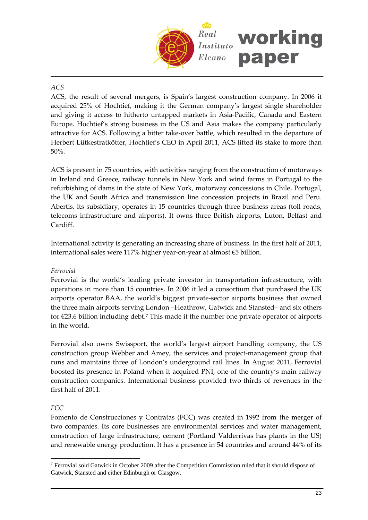

# *ACS*

ACS, the result of several mergers, is Spain's largest construction company. In 2006 it acquired 25% of Hochtief, making it the German company's largest single shareholder and giving it access to hitherto untapped markets in Asia‐Pacific, Canada and Eastern Europe. Hochtief's strong business in the US and Asia makes the company particularly attractive for ACS. Following a bitter take‐over battle, which resulted in the departure of Herbert Lütkestratkötter, Hochtief's CEO in April 2011, ACS lifted its stake to more than 50%.

ACS is present in 75 countries, with activities ranging from the construction of motorways in Ireland and Greece, railway tunnels in New York and wind farms in Portugal to the refurbishing of dams in the state of New York, motorway concessions in Chile, Portugal, the UK and South Africa and transmission line concession projects in Brazil and Peru. Abertis, its subsidiary, operates in 15 countries through three business areas (toll roads, telecoms infrastructure and airports). It owns three British airports, Luton, Belfast and Cardiff.

International activity is generating an increasing share of business. In the first half of 2011, international sales were 117% higher year‐on‐year at almost €5 billion.

### *Ferrovial*

Ferrovial is the world's leading private investor in transportation infrastructure, with operations in more than 15 countries. In 2006 it led a consortium that purchased the UK airports operator BAA, the world's biggest private‐sector airports business that owned the three main airports serving London –Heathrow, Gatwick and Stansted– and six others for  $\epsilon$ 23.6 billion including debt.<sup>[7](#page-22-0)</sup> This made it the number one private operator of airports in the world.

Ferrovial also owns Swissport, the world's largest airport handling company, the US construction group Webber and Amey, the services and project-management group that runs and maintains three of London's underground rail lines. In August 2011, Ferrovial boosted its presence in Poland when it acquired PNI, one of the country's main railway construction companies. International business provided two‐thirds of revenues in the first half of 2011.

### *FCC*

 $\overline{a}$ 

Fomento de Construcciones y Contratas (FCC) was created in 1992 from the merger of two companies. Its core businesses are environmental services and water management, construction of large infrastructure, cement (Portland Valderrivas has plants in the US) and renewable energy production. It has a presence in 54 countries and around 44% of its

<span id="page-22-0"></span><sup>&</sup>lt;sup>7</sup> Ferrovial sold Gatwick in October 2009 after the Competition Commission ruled that it should dispose of Gatwick, Stansted and either Edinburgh or Glasgow.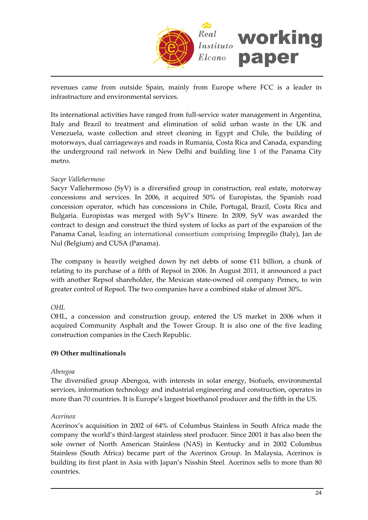

revenues came from outside Spain, mainly from Europe where FCC is a leader in infrastructure and environmental services.

Its international activities have ranged from full‐service water management in Argentina, Italy and Brazil to treatment and elimination of solid urban waste in the UK and Venezuela, waste collection and street cleaning in Egypt and Chile, the building of motorways, dual carriageways and roads in Rumania, Costa Rica and Canada, expanding the underground rail network in New Delhi and building line 1 of the Panama City metro.

### *Sacyr Vallehermoso*

Sacyr Vallehermoso (SyV) is a diversified group in construction, real estate, motorway concessions and services. In 2006, it acquired 50% of Europistas, the Spanish road concession operator, which has concessions in Chile, Portugal, Brazil, Costa Rica and Bulgaria. Europistas was merged with SyV's Itinere. In 2009, SyV was awarded the contract to design and construct the third system of locks as part of the expansion of the Panama Canal, leading an international consortium comprising Impregilo (Italy), Jan de Nul (Belgium) and CUSA (Panama).

The company is heavily weighed down by net debts of some €11 billion, a chunk of relating to its purchase of a fifth of Repsol in 2006. In August 2011, it announced a pact with another Repsol shareholder, the Mexican state‐owned oil company Pemex, to win greater control of Repsol. The two companies have a combined stake of almost 30%.

### *OHL*

OHL, a concession and construction group, entered the US market in 2006 when it acquired Community Asphalt and the Tower Group. It is also one of the five leading construction companies in the Czech Republic.

#### **(9) Other multinationals**

#### *Abengoa*

The diversified group Abengoa, with interests in solar energy, biofuels, environmental services, information technology and industrial engineering and construction, operates in more than 70 countries. It is Europe's largest bioethanol producer and the fifth in the US.

#### *Acerinox*

Acerinox's acquisition in 2002 of 64% of Columbus Stainless in South Africa made the company the world's third‐largest stainless steel producer. Since 2001 it has also been the sole owner of North American Stainless (NAS) in Kentucky and in 2002 Columbus Stainless (South Africa) became part of the Acerinox Group. In Malaysia, Acerinox is building its first plant in Asia with Japan's Nisshin Steel. Acerinox sells to more than 80 countries.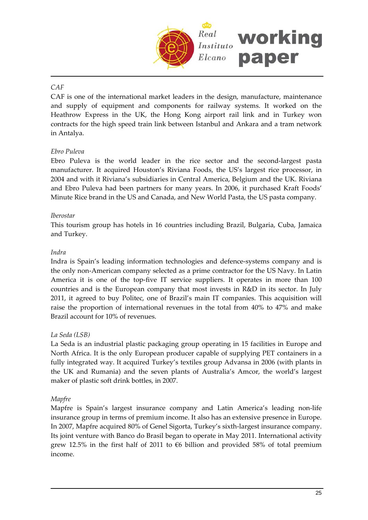

# *CAF*

CAF is one of the international market leaders in the design, manufacture, maintenance and supply of equipment and components for railway systems. It worked on the Heathrow Express in the UK, the Hong Kong airport rail link and in Turkey won contracts for the high speed train link between Istanbul and Ankara and a tram network in Antalya.

# *Ebro Puleva*

Ebro Puleva is the world leader in the rice sector and the second‐largest pasta manufacturer. It acquired Houston's Riviana Foods, the US's largest rice processor, in 2004 and with it Riviana's subsidiaries in Central America, Belgium and the UK. Riviana and Ebro Puleva had been partners for many years. In 2006, it purchased Kraft Foods' Minute Rice brand in the US and Canada, and New World Pasta, the US pasta company.

### *Iberostar*

This tourism group has hotels in 16 countries including Brazil, Bulgaria, Cuba, Jamaica and Turkey.

### *Indra*

Indra is Spain's leading information technologies and defence‐systems company and is the only non‐American company selected as a prime contractor for the US Navy. In Latin America it is one of the top‐five IT service suppliers. It operates in more than 100 countries and is the European company that most invests in R&D in its sector. In July 2011, it agreed to buy Politec, one of Brazil's main IT companies. This acquisition will raise the proportion of international revenues in the total from 40% to 47% and make Brazil account for 10% of revenues.

### *La Seda (LSB)*

La Seda is an industrial plastic packaging group operating in 15 facilities in Europe and North Africa. It is the only European producer capable of supplying PET containers in a fully integrated way. It acquired Turkey's textiles group Advansa in 2006 (with plants in the UK and Rumania) and the seven plants of Australia's Amcor, the world's largest maker of plastic soft drink bottles, in 2007.

### *Mapfre*

Mapfre is Spain's largest insurance company and Latin America's leading non-life insurance group in terms of premium income. It also has an extensive presence in Europe. In 2007, Mapfre acquired 80% of Genel Sigorta, Turkey's sixth-largest insurance company. Its joint venture with Banco do Brasil began to operate in May 2011. International activity grew 12.5% in the first half of 2011 to  $\epsilon$ 6 billion and provided 58% of total premium income.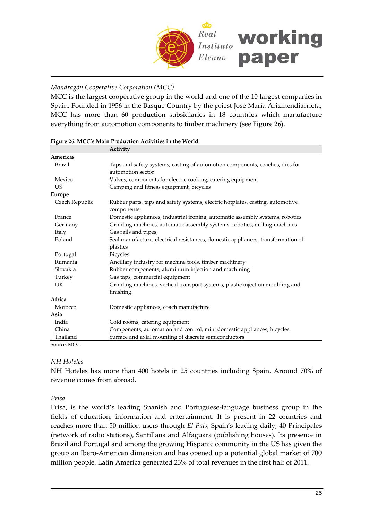

#### *Mondragón Cooperative Corporation (MCC)*

MCC is the largest cooperative group in the world and one of the 10 largest companies in Spain. Founded in 1956 in the Basque Country by the priest José María Arizmendiarrieta, MCC has more than 60 production subsidiaries in 18 countries which manufacture everything from automotion components to timber machinery (see Figure 26).

|                | Activity                                                                                          |
|----------------|---------------------------------------------------------------------------------------------------|
| Americas       |                                                                                                   |
| Brazil         | Taps and safety systems, casting of automotion components, coaches, dies for<br>automotion sector |
| Mexico         | Valves, components for electric cooking, catering equipment                                       |
| <b>US</b>      | Camping and fitness equipment, bicycles                                                           |
| <b>Europe</b>  |                                                                                                   |
| Czech Republic | Rubber parts, taps and safety systems, electric hotplates, casting, automotive<br>components      |
| France         | Domestic appliances, industrial ironing, automatic assembly systems, robotics                     |
| Germany        | Grinding machines, automatic assembly systems, robotics, milling machines                         |
| Italy          | Gas rails and pipes,                                                                              |
| Poland         | Seal manufacture, electrical resistances, domestic appliances, transformation of<br>plastics      |
| Portugal       | <b>Bicycles</b>                                                                                   |
| Rumania        | Ancillary industry for machine tools, timber machinery                                            |
| Slovakia       | Rubber components, aluminium injection and machining                                              |
| Turkey         | Gas taps, commercial equipment                                                                    |
| UK             | Grinding machines, vertical transport systems, plastic injection moulding and<br>finishing        |
| Africa         |                                                                                                   |
| Morocco        | Domestic appliances, coach manufacture                                                            |
| Asia           |                                                                                                   |
| India          | Cold rooms, catering equipment                                                                    |
| China          | Components, automation and control, mini domestic appliances, bicycles                            |
| Thailand       | Surface and axial mounting of discrete semiconductors                                             |
| Source: MCC.   |                                                                                                   |

|  |  | Figure 26. MCC's Main Production Activities in the World |  |  |  |
|--|--|----------------------------------------------------------|--|--|--|
|  |  |                                                          |  |  |  |

#### *NH Hoteles*

NH Hoteles has more than 400 hotels in 25 countries including Spain. Around 70% of revenue comes from abroad.

*Prisa*

Prisa, is the world's leading Spanish and Portuguese‐language business group in the fields of education, information and entertainment. It is present in 22 countries and reaches more than 50 million users through *El País*, Spain's leading daily, 40 Principales (network of radio stations), Santillana and Alfaguara (publishing houses). Its presence in Brazil and Portugal and among the growing Hispanic community in the US has given the group an Ibero‐American dimension and has opened up a potential global market of 700 million people. Latin America generated 23% of total revenues in the first half of 2011.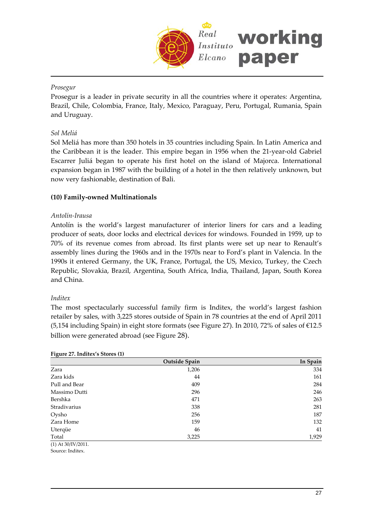

### *Prosegur*

Prosegur is a leader in private security in all the countries where it operates: Argentina, Brazil, Chile, Colombia, France, Italy, Mexico, Paraguay, Peru, Portugal, Rumania, Spain and Uruguay.

### *Sol Meliá*

Sol Meliá has more than 350 hotels in 35 countries including Spain. In Latin America and the Caribbean it is the leader. This empire began in 1956 when the 21‐year‐old Gabriel Escarrer Juliá began to operate his first hotel on the island of Majorca. International expansion began in 1987 with the building of a hotel in the then relatively unknown, but now very fashionable, destination of Bali.

### **(10) Family‐owned Multinationals**

#### *Antolín‐Irausa*

Antolín is the world's largest manufacturer of interior liners for cars and a leading producer of seats, door locks and electrical devices for windows. Founded in 1959, up to 70% of its revenue comes from abroad. Its first plants were set up near to Renault's assembly lines during the 1960s and in the 1970s near to Ford's plant in Valencia. In the 1990s it entered Germany, the UK, France, Portugal, the US, Mexico, Turkey, the Czech Republic, Slovakia, Brazil, Argentina, South Africa, India, Thailand, Japan, South Korea and China.

#### *Inditex*

The most spectacularly successful family firm is Inditex, the world's largest fashion retailer by sales, with 3,225 stores outside of Spain in 78 countries at the end of April 2011 (5,154 including Spain) in eight store formats (see Figure 27). In 2010, 72% of sales of €12.5 billion were generated abroad (see Figure 28).

| <u>_</u>           | Outside Spain | In Spain |
|--------------------|---------------|----------|
| Zara               | 1,206         | 334      |
| Zara kids          | 44            | 161      |
| Pull and Bear      | 409           | 284      |
| Massimo Dutti      | 296           | 246      |
| Bershka            | 471           | 263      |
| Stradivarius       | 338           | 281      |
| Oysho              | 256           | 187      |
| Zara Home          | 159           | 132      |
| Uterqüe            | 46            | 41       |
| Total              | 3,225         | 1,929    |
| (1) At 30/IV/2011. |               |          |

#### **Figure 27. Inditex's Stores (1)**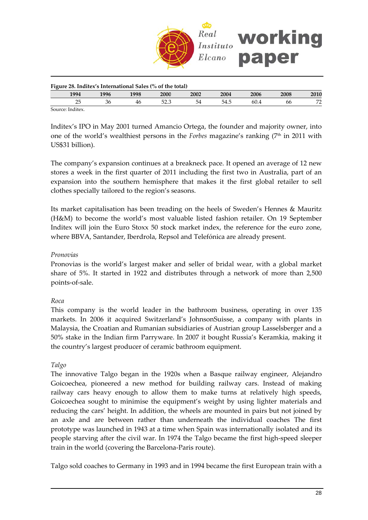

| Figure 28. Inditex's International Sales (% of the total) |      |      |             |      |      |      |      |             |
|-----------------------------------------------------------|------|------|-------------|------|------|------|------|-------------|
| 1994                                                      | 1996 | 1998 | <b>2000</b> | 2002 | 2004 | 2006 | 2008 | <b>2010</b> |
|                                                           | 36   | 46   |             | 54   | 54.5 | 60.4 | 66   | 77          |
|                                                           |      |      |             |      |      |      |      |             |

Source: Inditex.

Inditex's IPO in May 2001 turned Amancio Ortega, the founder and majority owner, into one of the world's wealthiest persons in the *Forbes* magazine's ranking (7<sup>th</sup> in 2011 with US\$31 billion).

The company's expansion continues at a breakneck pace. It opened an average of 12 new stores a week in the first quarter of 2011 including the first two in Australia, part of an expansion into the southern hemisphere that makes it the first global retailer to sell clothes specially tailored to the region's seasons.

Its market capitalisation has been treading on the heels of Sweden's Hennes & Mauritz (H&M) to become the world's most valuable listed fashion retailer. On 19 September Inditex will join the Euro Stoxx 50 stock market index, the reference for the euro zone, where BBVA, Santander, Iberdrola, Repsol and Telefónica are already present.

#### *Pronovias*

Pronovias is the world's largest maker and seller of bridal wear, with a global market share of 5%. It started in 1922 and distributes through a network of more than 2,500 points‐of‐sale.

### *Roca*

This company is the world leader in the bathroom business, operating in over 135 markets. In 2006 it acquired Switzerland's JohnsonSuisse, a company with plants in Malaysia, the Croatian and Rumanian subsidiaries of Austrian group Lasselsberger and a 50% stake in the Indian firm Parryware. In 2007 it bought Russia's Keramkia, making it the country's largest producer of ceramic bathroom equipment.

#### *Talgo*

The innovative Talgo began in the 1920s when a Basque railway engineer, Alejandro Goicoechea, pioneered a new method for building railway cars. Instead of making railway cars heavy enough to allow them to make turns at relatively high speeds, Goicoechea sought to minimise the equipment's weight by using lighter materials and reducing the cars' height. In addition, the wheels are mounted in pairs but not joined by an axle and are between rather than underneath the individual coaches The first prototype was launched in 1943 at a time when Spain was internationally isolated and its people starving after the civil war. In 1974 the Talgo became the first high‐speed sleeper train in the world (covering the Barcelona‐Paris route).

Talgo sold coaches to Germany in 1993 and in 1994 became the first European train with a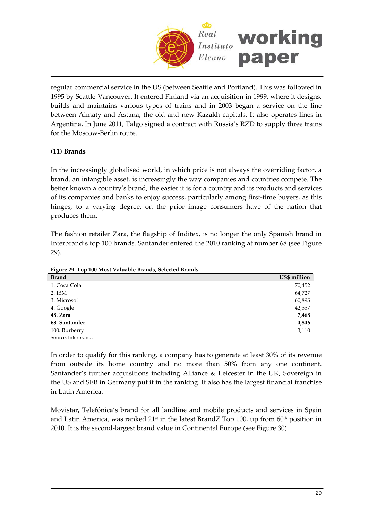

regular commercial service in the US (between Seattle and Portland). This was followed in 1995 by Seattle‐Vancouver. It entered Finland via an acquisition in 1999, where it designs, builds and maintains various types of trains and in 2003 began a service on the line between Almaty and Astana, the old and new Kazakh capitals. It also operates lines in Argentina. In June 2011, Talgo signed a contract with Russia's RZD to supply three trains for the Moscow‐Berlin route.

# **(11) Brands**

In the increasingly globalised world, in which price is not always the overriding factor, a brand, an intangible asset, is increasingly the way companies and countries compete. The better known a country's brand, the easier it is for a country and its products and services of its companies and banks to enjoy success, particularly among first-time buyers, as this hinges, to a varying degree, on the prior image consumers have of the nation that produces them.

The fashion retailer Zara, the flagship of Inditex, is no longer the only Spanish brand in Interbrand's top 100 brands. Santander entered the 2010 ranking at number 68 (see Figure 29).

**Figure 29. Top 100 Most Valuable Brands, Selected Brands**

| <b>Brand</b>  | US\$ million |
|---------------|--------------|
| 1. Coca Cola  | 70,452       |
| $2.$ IBM      | 64,727       |
| 3. Microsoft  | 60,895       |
| 4. Google     | 42,557       |
| 48. Zara      | 7,468        |
| 68. Santander | 4,846        |
| 100. Burberry | 3,110        |

Source: Interbrand.

In order to qualify for this ranking, a company has to generate at least 30% of its revenue from outside its home country and no more than 50% from any one continent. Santander's further acquisitions including Alliance & Leicester in the UK, Sovereign in the US and SEB in Germany put it in the ranking. It also has the largest financial franchise in Latin America.

Movistar, Telefónica's brand for all landline and mobile products and services in Spain and Latin America, was ranked  $21<sup>st</sup>$  in the latest BrandZ Top 100, up from 60<sup>th</sup> position in 2010. It is the second-largest brand value in Continental Europe (see Figure 30).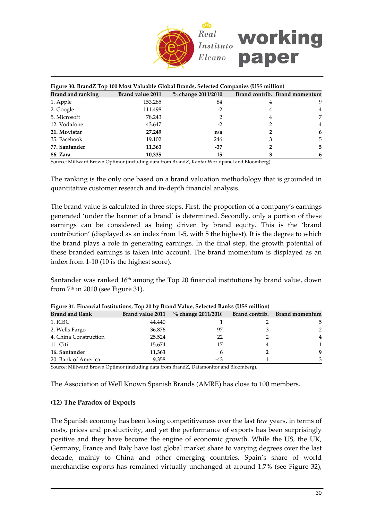

| Figure 30. BrandZ Top 100 Most Valuable Global Brands, Selected Companies (US\$ million) |                         |                    |   |                               |  |  |  |
|------------------------------------------------------------------------------------------|-------------------------|--------------------|---|-------------------------------|--|--|--|
| <b>Brand and ranking</b>                                                                 | <b>Brand value 2011</b> | % change 2011/2010 |   | Brand contrib. Brand momentum |  |  |  |
| 1. Apple                                                                                 | 153,285                 | 84                 | 4 | 9                             |  |  |  |
| 2. Google                                                                                | 111,498                 | $-2$               | 4 | $\overline{4}$                |  |  |  |
| 5. Microsoft                                                                             | 78,243                  |                    | 4 | 7                             |  |  |  |
| 12. Vodafone                                                                             | 43,647                  | $-2$               |   | 4                             |  |  |  |
| 21. Movistar                                                                             | 27,249                  | n/a                |   | 6                             |  |  |  |
| 35. Facebook                                                                             | 19,102                  | 246                | З | 5.                            |  |  |  |
| 77. Santander                                                                            | 11,363                  | -37                |   | 5.                            |  |  |  |
| 86. Zara                                                                                 | 10,335                  | 15                 |   | 6                             |  |  |  |

Source: Millward Brown Optimor (including data from BrandZ, Kantar Worldpanel and Bloomberg).

The ranking is the only one based on a brand valuation methodology that is grounded in quantitative customer research and in‐depth financial analysis.

The brand value is calculated in three steps. First, the proportion of a company's earnings generated 'under the banner of a brand' is determined. Secondly, only a portion of these earnings can be considered as being driven by brand equity. This is the 'brand contribution' (displayed as an index from 1‐5, with 5 the highest). It is the degree to which the brand plays a role in generating earnings. In the final step, the growth potential of these branded earnings is taken into account. The brand momentum is displayed as an index from 1‐10 (10 is the highest score).

Santander was ranked 16<sup>th</sup> among the Top 20 financial institutions by brand value, down from  $7<sup>th</sup>$  in 2010 (see Figure 31).

| <b>Brand and Rank</b> | Brand value 2011 | $\%$ change 2011/2010 | Brand contrib. | <b>Brand momentum</b> |
|-----------------------|------------------|-----------------------|----------------|-----------------------|
| 1. ICBC               | 44,440           |                       |                | 5                     |
| 2. Wells Fargo        | 36,876           | 97                    |                | 2                     |
| 4. China Construction | 25,524           | 22                    |                | Δ                     |
| 11. Citi              | 15,674           |                       |                |                       |
| 16. Santander         | 11,363           |                       |                | Q                     |
| 20. Bank of America   | 9.358            | -43                   |                | 3                     |

**Figure 31. Financial Institutions, Top 20 by Brand Value, Selected Banks (US\$ million)**

Source: Millward Brown Optimor (including data from BrandZ, Datamonitor and Bloomberg).

The Association of Well Known Spanish Brands (AMRE) has close to 100 members.

#### **(12) The Paradox of Exports**

The Spanish economy has been losing competitiveness over the last few years, in terms of costs, prices and productivity, and yet the performance of exports has been surprisingly positive and they have become the engine of economic growth. While the US, the UK, Germany, France and Italy have lost global market share to varying degrees over the last decade, mainly to China and other emerging countries, Spain's share of world merchandise exports has remained virtually unchanged at around 1.7% (see Figure 32),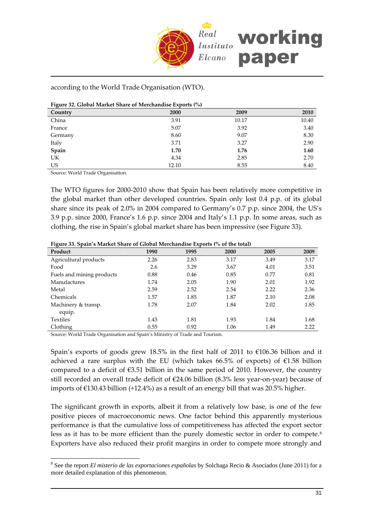

#### according to the World Trade Organisation (WTO).

| Figure 32. Global Market Share of Merchandise Exports (%) |       |       |       |  |  |  |  |
|-----------------------------------------------------------|-------|-------|-------|--|--|--|--|
| Country                                                   | 2000  | 2009  | 2010  |  |  |  |  |
| China                                                     | 3.91  | 10.17 | 10.40 |  |  |  |  |
| France                                                    | 5.07  | 3.92  | 3.40  |  |  |  |  |
| Germany                                                   | 8.60  | 9.07  | 8.30  |  |  |  |  |
| Italy                                                     | 3.71  | 3.27  | 2.90  |  |  |  |  |
| Spain                                                     | 1.70  | 1.76  | 1.60  |  |  |  |  |
| UK                                                        | 4.34  | 2.85  | 2.70  |  |  |  |  |
| US                                                        | 12.10 | 8.55  | 8.40  |  |  |  |  |

Source: World Trade Organisation.

 $\overline{a}$ 

The WTO figures for 2000-2010 show that Spain has been relatively more competitive in the global market than other developed countries. Spain only lost 0.4 p.p. of its global share since its peak of 2.0% in 2004 compared to Germany's 0.7 p.p. since 2004, the US's 3.9 p.p. since 2000, France's 1.6 p.p. since 2004 and Italy's 1.1 p.p. In some areas, such as clothing, the rise in Spain's global market share has been impressive (see Figure 33).

| Figure 33. Spain's Market Share of Global Merchandise Exports (% of the total) |  |  |
|--------------------------------------------------------------------------------|--|--|
|                                                                                |  |  |

| ັ<br>Product              | 1990 | 1995 | 2000 | 2005 | 2009 |
|---------------------------|------|------|------|------|------|
| Agricultural products     | 2.26 | 2.83 | 3.17 | 3.49 | 3.17 |
| Food                      | 2.6  | 3.29 | 3.67 | 4.01 | 3.51 |
| Fuels and mining products | 0.88 | 0.46 | 0.85 | 0.77 | 0.81 |
| <b>Manufactures</b>       | 1.74 | 2.05 | 1.90 | 2.01 | 1.92 |
| Metal                     | 2.59 | 2.52 | 2.54 | 2.22 | 2.36 |
| Chemicals                 | 1.57 | 1.85 | 1.87 | 2.10 | 2.08 |
| Machinery & transp.       | 1.78 | 2.07 | 1.84 | 2.02 | 1.85 |
| equip.                    |      |      |      |      |      |
| <b>Textiles</b>           | 1.43 | 1.81 | 1.93 | 1.84 | 1.68 |
| Clothing                  | 0.55 | 0.92 | 1.06 | 1.49 | 2.22 |

Source: World Trade Organisation and Spain's Ministry of Trade and Tourism.

Spain's exports of goods grew 18.5% in the first half of 2011 to €106.36 billion and it achieved a rare surplus with the EU (which takes 66.5% of exports) of  $E1.58$  billion compared to a deficit of  $\epsilon$ 3.51 billion in the same period of 2010. However, the country still recorded an overall trade deficit of €24.06 billion (8.3% less year-on-year) because of imports of €130.43 billion (+12.4%) as a result of an energy bill that was 20.5% higher.

The significant growth in exports, albeit it from a relatively low base, is one of the few positive pieces of macroeconomic news. One factor behind this apparently mysterious performance is that the cumulative loss of competitiveness has affected the export sector less as it has to be more efficient than the purely domestic sector in order to compete.<sup>[8](#page-30-0)</sup> Exporters have also reduced their profit margins in order to compete more strongly and

<span id="page-30-0"></span><sup>8</sup> See the report *El misterio de las exportaciones españolas* by Solchaga Recio & Asociados (June 2011) for a more detailed explanation of this phenomenon.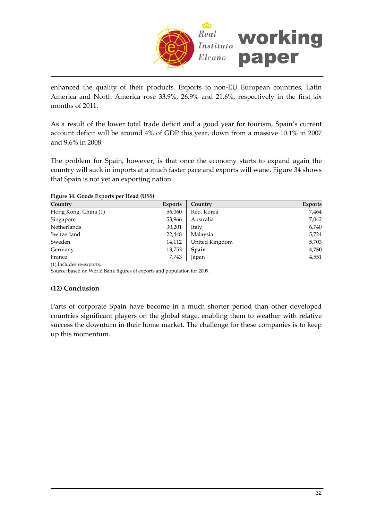

enhanced the quality of their products. Exports to non‐EU European countries, Latin America and North America rose 33.9%, 26.9% and 21.6%, respectively in the first six months of 2011.

As a result of the lower total trade deficit and a good year for tourism, Spain's current account deficit will be around 4% of GDP this year, down from a massive 10.1% in 2007 and 9.6% in 2008.

The problem for Spain, however, is that once the economy starts to expand again the country will suck in imports at a much faster pace and exports will wane. Figure 34 shows that Spain is not yet an exporting nation.

**Figure 34. Goods Exports per Head (US\$)**

| Country              | <b>Exports</b> | Country        | <b>Exports</b> |
|----------------------|----------------|----------------|----------------|
| Hong Kong, China (1) | 56,060         | Rep. Korea     | 7,464          |
| Singapore            | 53,966         | Australia      | 7,042          |
| Netherlands          | 30,201         | Italy          | 6,740          |
| Switzerland          | 22,448         | Malaysia       | 5,724          |
| Sweden               | 14,112         | United Kingdom | 5,703          |
| Germany              | 13,753         | Spain          | 4,750          |
| France               | 7,743          | Japan          | 4,551          |

(1) Includes re‐exports.

Source: based on World Bank figures of exports and population for 2009.

#### **(12) Conclusion**

Parts of corporate Spain have become in a much shorter period than other developed countries significant players on the global stage, enabling them to weather with relative success the downturn in their home market. The challenge for these companies is to keep up this momentum.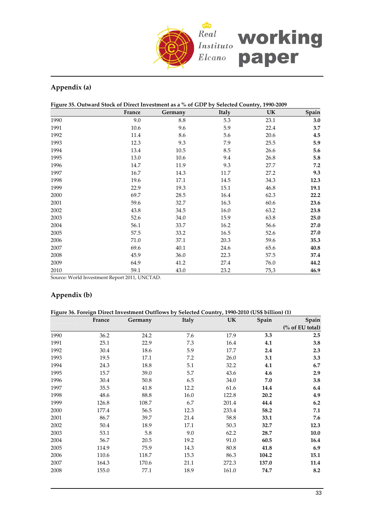

# **Appendix (a)**

| Figure 35. Outward Stock of Direct Investment as a % of GDP by Selected Country, 1990-2009 |  |  |  |  |
|--------------------------------------------------------------------------------------------|--|--|--|--|
|                                                                                            |  |  |  |  |
|                                                                                            |  |  |  |  |
|                                                                                            |  |  |  |  |

|      | France | Germany | Italy | UK   | Spain |
|------|--------|---------|-------|------|-------|
| 1990 | 9.0    | 8.8     | 5.3   | 23.1 | 3.0   |
| 1991 | 10.6   | 9.6     | 5.9   | 22.4 | 3.7   |
| 1992 | 11.4   | 8.6     | 5.6   | 20.6 | 4.5   |
| 1993 | 12.3   | 9.3     | 7.9   | 25.5 | 5.9   |
| 1994 | 13.4   | 10.5    | 8.5   | 26.6 | 5.6   |
| 1995 | 13.0   | 10.6    | 9.4   | 26.8 | 5.8   |
| 1996 | 14.7   | 11.9    | 9.3   | 27.7 | 7.2   |
| 1997 | 16.7   | 14.3    | 11.7  | 27.2 | 9.3   |
| 1998 | 19.6   | 17.1    | 14.5  | 34.3 | 12.3  |
| 1999 | 22.9   | 19.3    | 15.1  | 46.8 | 19.1  |
| 2000 | 69.7   | 28.5    | 16.4  | 62.3 | 22.2  |
| 2001 | 59.6   | 32.7    | 16.3  | 60.6 | 23.6  |
| 2002 | 43.8   | 34.5    | 16.0  | 63.2 | 23.8  |
| 2003 | 52.6   | 34.0    | 15.9  | 63.8 | 25.0  |
| 2004 | 56.1   | 33.7    | 16.2  | 56.6 | 27.0  |
| 2005 | 57.5   | 33.2    | 16.5  | 52.6 | 27.0  |
| 2006 | 71.0   | 37.1    | 20.3  | 59.6 | 35.3  |
| 2007 | 69.6   | 40.1    | 24.6  | 65.6 | 40.8  |
| 2008 | 45.9   | 36.0    | 22.3  | 57.5 | 37.4  |
| 2009 | 64.9   | 41.2    | 27.4  | 76.0 | 44.2  |
| 2010 | 59.1   | 43.0    | 23.2  | 75,3 | 46.9  |

Source: World Investment Report 2011, UNCTAD.

# **Appendix (b)**

| Figure 36. Foreign Direct Investment Outflows by Selected Country, 1990-2010 (US\$ billion) (1) |  |
|-------------------------------------------------------------------------------------------------|--|
|                                                                                                 |  |
|                                                                                                 |  |

|       |        |         |       |           | Spain           |
|-------|--------|---------|-------|-----------|-----------------|
|       |        |         |       |           | (% of EU total) |
| 36.2  | 24.2   | 7.6     | 17.9  | 3.3       | 2.5             |
| 25.1  | 22.9   | 7.3     | 16.4  | 4.1       | 3.8             |
| 30.4  | 18.6   | 5.9     | 17.7  | 2.4       | 2.3             |
| 19.5  | 17.1   | 7.2     | 26.0  | 3.1       | 3.3             |
| 24.3  | 18.8   | 5.1     | 32.2  | 4.1       | 6.7             |
| 15.7  | 39.0   | 5.7     | 43.6  | 4.6       | 2.9             |
| 30.4  | 50.8   | 6.5     | 34.0  | 7.0       | 3.8             |
| 35.5  | 41.8   | 12.2    | 61.6  | 14.4      | 6.4             |
| 48.6  | 88.8   | 16.0    | 122.8 | 20.2      | 4.9             |
| 126.8 | 108.7  | 6.7     | 201.4 | 44.4      | 6.2             |
| 177.4 | 56.5   | 12.3    | 233.4 | 58.2      | 7.1             |
| 86.7  | 39.7   | 21.4    | 58.8  | 33.1      | 7.6             |
| 50.4  | 18.9   | 17.1    | 50.3  | 32.7      | 12.3            |
| 53.1  | 5.8    | 9.0     | 62.2  | 28.7      | 10.0            |
| 56.7  | 20.5   | 19.2    | 91.0  | 60.5      | 16.4            |
| 114.9 | 75.9   | 14.3    | 80.8  | 41.8      | 6.9             |
| 110.6 | 118.7  | 15.3    | 86.3  | 104.2     | 15.1            |
| 164.3 | 170.6  | 21.1    | 272.3 | 137.0     | 11.4            |
| 155.0 | 77.1   | 18.9    | 161.0 | 74.7      | 8.2             |
|       | France | Germany | Italy | <b>UK</b> | Spain           |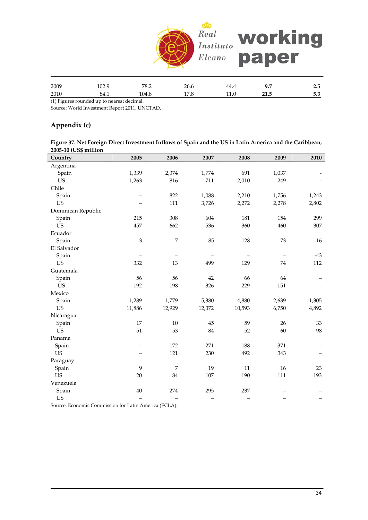

| 2009 | 104.Z | 78.<br>0.4 | 26.6 | 44.4 | ,,,  | - -<br>2.5     |
|------|-------|------------|------|------|------|----------------|
| 2010 | 84.1  | 104.8      | 17.0 | 11.U | 41.0 | $ \sim$<br>ს.ა |

(1) Figures rounded up to nearest decimal.

Source: World Investment Report 2011, UNCTAD.

#### **Appendix (c)**

Figure 37. Net Foreign Direct Investment Inflows of Spain and the US in Latin America and the Caribbean, **2005‐10 (US\$ million**

| Country            | 2005                     | 2006           | 2007   | 2008   | 2009  | 2010  |
|--------------------|--------------------------|----------------|--------|--------|-------|-------|
| Argentina          |                          |                |        |        |       |       |
| Spain              | 1,339                    | 2,374          | 1,774  | 691    | 1,037 |       |
| <b>US</b>          | 1,263                    | 816            | 711    | 2,010  | 249   |       |
| Chile              |                          |                |        |        |       |       |
| Spain              |                          | 822            | 1,088  | 2,210  | 1,756 | 1,243 |
| <b>US</b>          |                          | 111            | 3,726  | 2,272  | 2,278 | 2,802 |
| Dominican Republic |                          |                |        |        |       |       |
| Spain              | 215                      | 308            | 604    | 181    | 154   | 299   |
| US                 | 457                      | 662            | 536    | 360    | 460   | 307   |
| Ecuador            |                          |                |        |        |       |       |
| Spain              | 3                        | 7              | 85     | 128    | 73    | 16    |
| El Salvador        |                          |                |        |        |       |       |
| Spain              |                          |                |        |        |       | $-43$ |
| <b>US</b>          | 332                      | 13             | 499    | 129    | 74    | 112   |
| Guatemala          |                          |                |        |        |       |       |
| Spain              | 56                       | 56             | 42     | 66     | 64    |       |
| <b>US</b>          | 192                      | 198            | 326    | 229    | 151   |       |
| Mexico             |                          |                |        |        |       |       |
| Spain              | 1,289                    | 1,779          | 5,380  | 4,880  | 2,639 | 1,305 |
| <b>US</b>          | 11,886                   | 12,929         | 12,372 | 10,593 | 6,750 | 4,892 |
| Nicaragua          |                          |                |        |        |       |       |
| Spain              | 17                       | 10             | 45     | 59     | 26    | 33    |
| <b>US</b>          | 51                       | 53             | 84     | 52     | 60    | 98    |
| Panama             |                          |                |        |        |       |       |
| Spain              | $\overline{\phantom{0}}$ | 172            | 271    | 188    | 371   |       |
| <b>US</b>          |                          | 121            | 230    | 492    | 343   |       |
| Paraguay           |                          |                |        |        |       |       |
| Spain              | 9                        | $\overline{7}$ | 19     | $11\,$ | 16    | 23    |
| <b>US</b>          | $20\,$                   | 84             | 107    | 190    | 111   | 193   |
| Venezuela          |                          |                |        |        |       |       |
| Spain              | 40                       | 274            | 295    | 237    |       |       |
| <b>US</b>          |                          |                |        |        |       |       |

Source: Economic Commission for Latin America (ECLA).